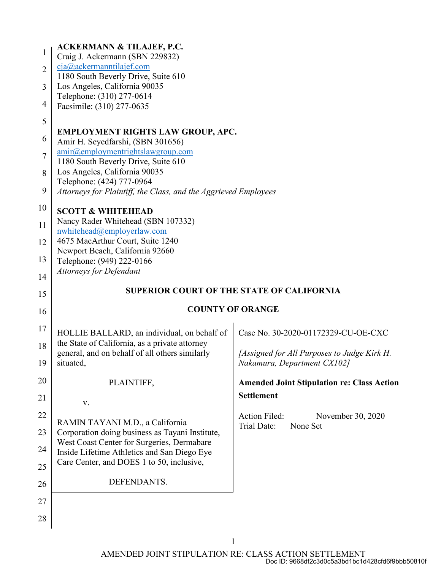| 1              | <b>ACKERMANN &amp; TILAJEF, P.C.</b><br>Craig J. Ackermann (SBN 229832)                                                                                          |                                                                            |  |
|----------------|------------------------------------------------------------------------------------------------------------------------------------------------------------------|----------------------------------------------------------------------------|--|
| $\overline{2}$ | cia@ackermanntilajef.com                                                                                                                                         |                                                                            |  |
| 3              | 1180 South Beverly Drive, Suite 610<br>Los Angeles, California 90035                                                                                             |                                                                            |  |
|                | Telephone: (310) 277-0614                                                                                                                                        |                                                                            |  |
| 4              | Facsimile: (310) 277-0635                                                                                                                                        |                                                                            |  |
| 5              | <b>EMPLOYMENT RIGHTS LAW GROUP, APC.</b>                                                                                                                         |                                                                            |  |
| 6              | Amir H. Seyedfarshi, (SBN 301656)                                                                                                                                |                                                                            |  |
| 7              | amir@employmentrichtslawgroup.com<br>1180 South Beverly Drive, Suite 610                                                                                         |                                                                            |  |
| 8              | Los Angeles, California 90035<br>Telephone: (424) 777-0964                                                                                                       |                                                                            |  |
| 9              | Attorneys for Plaintiff, the Class, and the Aggrieved Employees                                                                                                  |                                                                            |  |
| 10             | <b>SCOTT &amp; WHITEHEAD</b>                                                                                                                                     |                                                                            |  |
| 11             | Nancy Rader Whitehead (SBN 107332)                                                                                                                               |                                                                            |  |
| 12             | nwhitehead@employerlaw.com<br>4675 MacArthur Court, Suite 1240<br>Newport Beach, California 92660<br>Telephone: (949) 222-0166<br><b>Attorneys for Defendant</b> |                                                                            |  |
| 13             |                                                                                                                                                                  |                                                                            |  |
| 14             |                                                                                                                                                                  |                                                                            |  |
| 15             | <b>SUPERIOR COURT OF THE STATE OF CALIFORNIA</b>                                                                                                                 |                                                                            |  |
| 16             | <b>COUNTY OF ORANGE</b>                                                                                                                                          |                                                                            |  |
| 17             | HOLLIE BALLARD, an individual, on behalf of                                                                                                                      | Case No. 30-2020-01172329-CU-OE-CXC                                        |  |
| 18             |                                                                                                                                                                  |                                                                            |  |
|                | the State of California, as a private attorney                                                                                                                   |                                                                            |  |
| 19             | general, and on behalf of all others similarly<br>situated,                                                                                                      | [Assigned for All Purposes to Judge Kirk H.<br>Nakamura, Department CX102] |  |
| 20             | PLAINTIFF,                                                                                                                                                       | <b>Amended Joint Stipulation re: Class Action</b>                          |  |
| 21             | V.                                                                                                                                                               | <b>Settlement</b>                                                          |  |
| 22             |                                                                                                                                                                  | Action Filed:<br>November 30, 2020                                         |  |
| 23             | RAMIN TAYANI M.D., a California<br>Corporation doing business as Tayani Institute,                                                                               | None Set<br>Trial Date:                                                    |  |
| 24             | West Coast Center for Surgeries, Dermabare                                                                                                                       |                                                                            |  |
| 25             | Inside Lifetime Athletics and San Diego Eye<br>Care Center, and DOES 1 to 50, inclusive,                                                                         |                                                                            |  |
| 26             | DEFENDANTS.                                                                                                                                                      |                                                                            |  |
| 27             |                                                                                                                                                                  |                                                                            |  |
| 28             |                                                                                                                                                                  |                                                                            |  |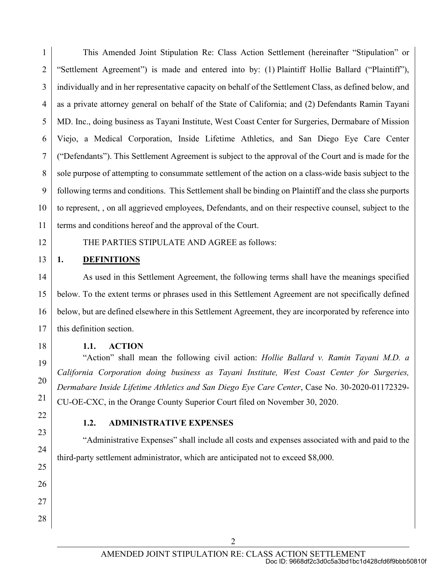1 2 3 4 5 6 7 8 9 10 11 This Amended Joint Stipulation Re: Class Action Settlement (hereinafter "Stipulation" or "Settlement Agreement") is made and entered into by: (1) Plaintiff Hollie Ballard ("Plaintiff"), individually and in her representative capacity on behalf of the Settlement Class, as defined below, and as a private attorney general on behalf of the State of California; and (2) Defendants Ramin Tayani MD. Inc., doing business as Tayani Institute, West Coast Center for Surgeries, Dermabare of Mission Viejo, a Medical Corporation, Inside Lifetime Athletics, and San Diego Eye Care Center ("Defendants"). This Settlement Agreement is subject to the approval of the Court and is made for the sole purpose of attempting to consummate settlement of the action on a class-wide basis subject to the following terms and conditions. This Settlement shall be binding on Plaintiff and the class she purports to represent, , on all aggrieved employees, Defendants, and on their respective counsel, subject to the terms and conditions hereof and the approval of the Court.

12

THE PARTIES STIPULATE AND AGREE as follows:

#### 13 **1. DEFINITIONS**

14 15 16 17 As used in this Settlement Agreement, the following terms shall have the meanings specified below. To the extent terms or phrases used in this Settlement Agreement are not specifically defined below, but are defined elsewhere in this Settlement Agreement, they are incorporated by reference into this definition section.

18

19

20

21

#### **1.1. ACTION**

"Action" shall mean the following civil action: *Hollie Ballard v. Ramin Tayani M.D. a California Corporation doing business as Tayani Institute, West Coast Center for Surgeries, Dermabare Inside Lifetime Athletics and San Diego Eye Care Center*, Case No. 30-2020-01172329- CU-OE-CXC, in the Orange County Superior Court filed on November 30, 2020.

22 23

24

25

26

27

28

#### **1.2. ADMINISTRATIVE EXPENSES**

"Administrative Expenses" shall include all costs and expenses associated with and paid to the third-party settlement administrator, which are anticipated not to exceed \$8,000.

> AMENDED JOINT STIPULATION RE: CLASS ACTION SETTLEMENT Doc ID: 9668df2c3d0c5a3bd1bc1d428cfd6f9bbb50810f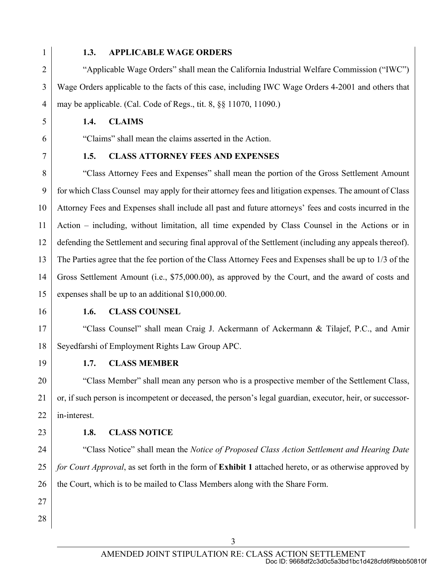2

3

4

#### **1.3. APPLICABLE WAGE ORDERS**

"Applicable Wage Orders" shall mean the California Industrial Welfare Commission ("IWC") Wage Orders applicable to the facts of this case, including IWC Wage Orders 4-2001 and others that may be applicable. (Cal. Code of Regs., tit. 8, §§ 11070, 11090.)

5

#### **1.4. CLAIMS**

6

7

#### **1.5. CLASS ATTORNEY FEES AND EXPENSES**

"Claims" shall mean the claims asserted in the Action.

8 9 10 11 12 13 14 15 "Class Attorney Fees and Expenses" shall mean the portion of the Gross Settlement Amount for which Class Counsel may apply for their attorney fees and litigation expenses. The amount of Class Attorney Fees and Expenses shall include all past and future attorneys' fees and costs incurred in the Action – including, without limitation, all time expended by Class Counsel in the Actions or in defending the Settlement and securing final approval of the Settlement (including any appeals thereof). The Parties agree that the fee portion of the Class Attorney Fees and Expenses shall be up to 1/3 of the Gross Settlement Amount (i.e., \$75,000.00), as approved by the Court, and the award of costs and expenses shall be up to an additional \$10,000.00.

16

#### **1.6. CLASS COUNSEL**

17 18 "Class Counsel" shall mean Craig J. Ackermann of Ackermann & Tilajef, P.C., and Amir Seyedfarshi of Employment Rights Law Group APC.

19

### **1.7. CLASS MEMBER**

20  $21$ 22 "Class Member" shall mean any person who is a prospective member of the Settlement Class, or, if such person is incompetent or deceased, the person's legal guardian, executor, heir, or successorin-interest.

23

#### **1.8. CLASS NOTICE**

24 25 26 "Class Notice" shall mean the *Notice of Proposed Class Action Settlement and Hearing Date for Court Approval*, as set forth in the form of **Exhibit 1** attached hereto, or as otherwise approved by the Court, which is to be mailed to Class Members along with the Share Form.

3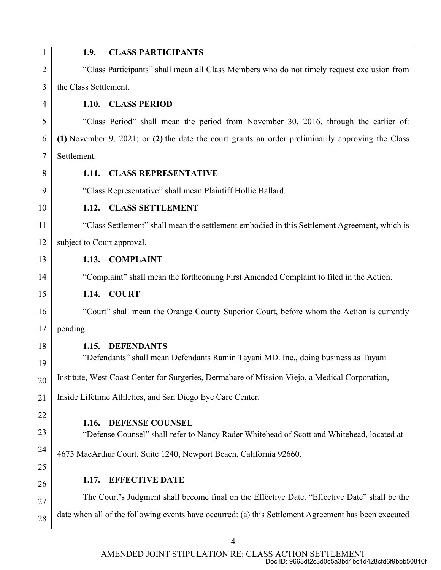| <b>CLASS PARTICIPANTS</b><br>1.9.                                                                     |                                                                                                                                                                                                                                                                                                                                                                                                                                                                   |  |
|-------------------------------------------------------------------------------------------------------|-------------------------------------------------------------------------------------------------------------------------------------------------------------------------------------------------------------------------------------------------------------------------------------------------------------------------------------------------------------------------------------------------------------------------------------------------------------------|--|
| "Class Participants" shall mean all Class Members who do not timely request exclusion from            |                                                                                                                                                                                                                                                                                                                                                                                                                                                                   |  |
| the Class Settlement.                                                                                 |                                                                                                                                                                                                                                                                                                                                                                                                                                                                   |  |
| 1.10. CLASS PERIOD                                                                                    |                                                                                                                                                                                                                                                                                                                                                                                                                                                                   |  |
| "Class Period" shall mean the period from November 30, 2016, through the earlier of:                  |                                                                                                                                                                                                                                                                                                                                                                                                                                                                   |  |
| $(1)$ November 9, 2021; or $(2)$ the date the court grants an order preliminarily approving the Class |                                                                                                                                                                                                                                                                                                                                                                                                                                                                   |  |
| Settlement.                                                                                           |                                                                                                                                                                                                                                                                                                                                                                                                                                                                   |  |
| 1.11. CLASS REPRESENTATIVE                                                                            |                                                                                                                                                                                                                                                                                                                                                                                                                                                                   |  |
| "Class Representative" shall mean Plaintiff Hollie Ballard.                                           |                                                                                                                                                                                                                                                                                                                                                                                                                                                                   |  |
| 1.12. CLASS SETTLEMENT                                                                                |                                                                                                                                                                                                                                                                                                                                                                                                                                                                   |  |
| "Class Settlement" shall mean the settlement embodied in this Settlement Agreement, which is          |                                                                                                                                                                                                                                                                                                                                                                                                                                                                   |  |
| subject to Court approval.                                                                            |                                                                                                                                                                                                                                                                                                                                                                                                                                                                   |  |
| 1.13. COMPLAINT                                                                                       |                                                                                                                                                                                                                                                                                                                                                                                                                                                                   |  |
| "Complaint" shall mean the forthcoming First Amended Complaint to filed in the Action.                |                                                                                                                                                                                                                                                                                                                                                                                                                                                                   |  |
| 1.14. COURT                                                                                           |                                                                                                                                                                                                                                                                                                                                                                                                                                                                   |  |
| "Court" shall mean the Orange County Superior Court, before whom the Action is currently              |                                                                                                                                                                                                                                                                                                                                                                                                                                                                   |  |
| pending.                                                                                              |                                                                                                                                                                                                                                                                                                                                                                                                                                                                   |  |
| 1.15. DEFENDANTS                                                                                      |                                                                                                                                                                                                                                                                                                                                                                                                                                                                   |  |
|                                                                                                       |                                                                                                                                                                                                                                                                                                                                                                                                                                                                   |  |
|                                                                                                       |                                                                                                                                                                                                                                                                                                                                                                                                                                                                   |  |
| Inside Lifetime Athletics, and San Diego Eye Care Center.                                             |                                                                                                                                                                                                                                                                                                                                                                                                                                                                   |  |
|                                                                                                       |                                                                                                                                                                                                                                                                                                                                                                                                                                                                   |  |
| "Defense Counsel" shall refer to Nancy Rader Whitehead of Scott and Whitehead, located at             |                                                                                                                                                                                                                                                                                                                                                                                                                                                                   |  |
| 4675 MacArthur Court, Suite 1240, Newport Beach, California 92660.                                    |                                                                                                                                                                                                                                                                                                                                                                                                                                                                   |  |
|                                                                                                       |                                                                                                                                                                                                                                                                                                                                                                                                                                                                   |  |
|                                                                                                       |                                                                                                                                                                                                                                                                                                                                                                                                                                                                   |  |
|                                                                                                       |                                                                                                                                                                                                                                                                                                                                                                                                                                                                   |  |
|                                                                                                       |                                                                                                                                                                                                                                                                                                                                                                                                                                                                   |  |
|                                                                                                       | "Defendants" shall mean Defendants Ramin Tayani MD. Inc., doing business as Tayani<br>Institute, West Coast Center for Surgeries, Dermabare of Mission Viejo, a Medical Corporation,<br><b>DEFENSE COUNSEL</b><br>1.16.<br><b>EFFECTIVE DATE</b><br>1.17.<br>The Court's Judgment shall become final on the Effective Date. "Effective Date" shall be the<br>date when all of the following events have occurred: (a) this Settlement Agreement has been executed |  |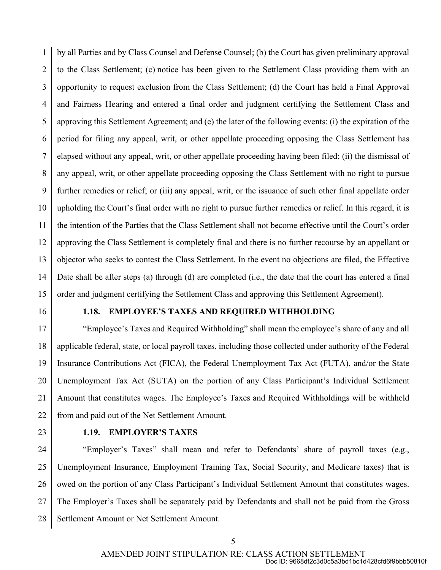1 2 3 4 5 6 7 8 9 10 11 12 13 14 15 by all Parties and by Class Counsel and Defense Counsel; (b) the Court has given preliminary approval to the Class Settlement; (c) notice has been given to the Settlement Class providing them with an opportunity to request exclusion from the Class Settlement; (d) the Court has held a Final Approval and Fairness Hearing and entered a final order and judgment certifying the Settlement Class and approving this Settlement Agreement; and (e) the later of the following events: (i) the expiration of the period for filing any appeal, writ, or other appellate proceeding opposing the Class Settlement has elapsed without any appeal, writ, or other appellate proceeding having been filed; (ii) the dismissal of any appeal, writ, or other appellate proceeding opposing the Class Settlement with no right to pursue further remedies or relief; or (iii) any appeal, writ, or the issuance of such other final appellate order upholding the Court's final order with no right to pursue further remedies or relief. In this regard, it is the intention of the Parties that the Class Settlement shall not become effective until the Court's order approving the Class Settlement is completely final and there is no further recourse by an appellant or objector who seeks to contest the Class Settlement. In the event no objections are filed, the Effective Date shall be after steps (a) through (d) are completed (i.e., the date that the court has entered a final order and judgment certifying the Settlement Class and approving this Settlement Agreement).

16

#### **1.18. EMPLOYEE'S TAXES AND REQUIRED WITHHOLDING**

17 18 19 20 21 22 "Employee's Taxes and Required Withholding" shall mean the employee's share of any and all applicable federal, state, or local payroll taxes, including those collected under authority of the Federal Insurance Contributions Act (FICA), the Federal Unemployment Tax Act (FUTA), and/or the State Unemployment Tax Act (SUTA) on the portion of any Class Participant's Individual Settlement Amount that constitutes wages. The Employee's Taxes and Required Withholdings will be withheld from and paid out of the Net Settlement Amount.

23

#### **1.19. EMPLOYER'S TAXES**

24 25 26 27 28 "Employer's Taxes" shall mean and refer to Defendants' share of payroll taxes (e.g., Unemployment Insurance, Employment Training Tax, Social Security, and Medicare taxes) that is owed on the portion of any Class Participant's Individual Settlement Amount that constitutes wages. The Employer's Taxes shall be separately paid by Defendants and shall not be paid from the Gross Settlement Amount or Net Settlement Amount.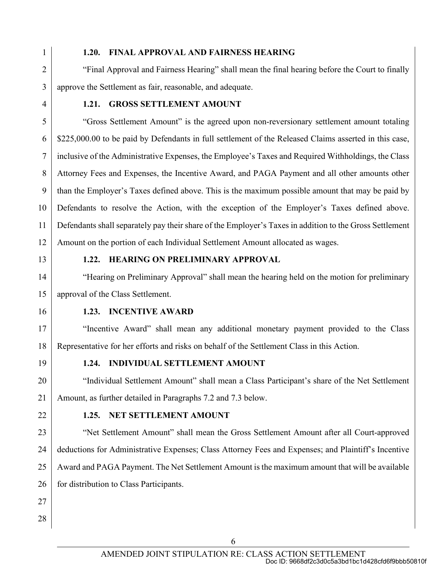#### **1.20. FINAL APPROVAL AND FAIRNESS HEARING**

2 3 "Final Approval and Fairness Hearing" shall mean the final hearing before the Court to finally approve the Settlement as fair, reasonable, and adequate.

4

#### **1.21. GROSS SETTLEMENT AMOUNT**

5 6 7 8 9 10 11 12 "Gross Settlement Amount" is the agreed upon non-reversionary settlement amount totaling \$225,000.00 to be paid by Defendants in full settlement of the Released Claims asserted in this case, inclusive of the Administrative Expenses, the Employee's Taxes and Required Withholdings, the Class Attorney Fees and Expenses, the Incentive Award, and PAGA Payment and all other amounts other than the Employer's Taxes defined above. This is the maximum possible amount that may be paid by Defendants to resolve the Action, with the exception of the Employer's Taxes defined above. Defendants shall separately pay their share of the Employer's Taxes in addition to the Gross Settlement Amount on the portion of each Individual Settlement Amount allocated as wages.

13

#### **1.22. HEARING ON PRELIMINARY APPROVAL**

14 15 "Hearing on Preliminary Approval" shall mean the hearing held on the motion for preliminary approval of the Class Settlement.

16

#### **1.23. INCENTIVE AWARD**

17 18 "Incentive Award" shall mean any additional monetary payment provided to the Class Representative for her efforts and risks on behalf of the Settlement Class in this Action.

19

#### **1.24. INDIVIDUAL SETTLEMENT AMOUNT**

20  $21$ "Individual Settlement Amount" shall mean a Class Participant's share of the Net Settlement Amount, as further detailed in Paragraphs 7.2 and 7.3 below.

22

#### **1.25. NET SETTLEMENT AMOUNT**

23 24 25 26 "Net Settlement Amount" shall mean the Gross Settlement Amount after all Court-approved deductions for Administrative Expenses; Class Attorney Fees and Expenses; and Plaintiff's Incentive Award and PAGA Payment. The Net Settlement Amount is the maximum amount that will be available for distribution to Class Participants.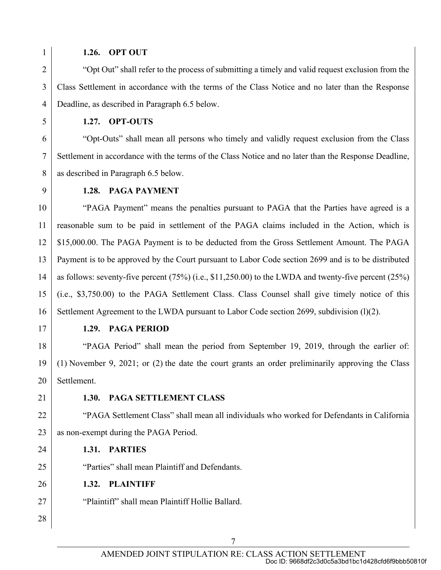#### **1.26. OPT OUT**

2 3 4 "Opt Out" shall refer to the process of submitting a timely and valid request exclusion from the Class Settlement in accordance with the terms of the Class Notice and no later than the Response Deadline, as described in Paragraph 6.5 below.

**1.27. OPT-OUTS** 

6 7 8 "Opt-Outs" shall mean all persons who timely and validly request exclusion from the Class Settlement in accordance with the terms of the Class Notice and no later than the Response Deadline, as described in Paragraph 6.5 below.

9

5

#### **1.28. PAGA PAYMENT**

10 11 12 13 14 15 16 "PAGA Payment" means the penalties pursuant to PAGA that the Parties have agreed is a reasonable sum to be paid in settlement of the PAGA claims included in the Action, which is \$15,000.00. The PAGA Payment is to be deducted from the Gross Settlement Amount. The PAGA Payment is to be approved by the Court pursuant to Labor Code section 2699 and is to be distributed as follows: seventy-five percent  $(75%)$  (i.e., \$11,250.00) to the LWDA and twenty-five percent  $(25%)$ (i.e., \$3,750.00) to the PAGA Settlement Class. Class Counsel shall give timely notice of this Settlement Agreement to the LWDA pursuant to Labor Code section 2699, subdivision (l)(2).

17

#### **1.29. PAGA PERIOD**

18 19 20 "PAGA Period" shall mean the period from September 19, 2019, through the earlier of: (1) November 9, 2021; or (2) the date the court grants an order preliminarily approving the Class Settlement.

 $21$ 

#### **1.30. PAGA SETTLEMENT CLASS**

22 23 "PAGA Settlement Class" shall mean all individuals who worked for Defendants in California as non-exempt during the PAGA Period.

24 **1.31. PARTIES** 

"Parties" shall mean Plaintiff and Defendants.

26 **1.32. PLAINTIFF** 

"Plaintiff" shall mean Plaintiff Hollie Ballard.

28

27

25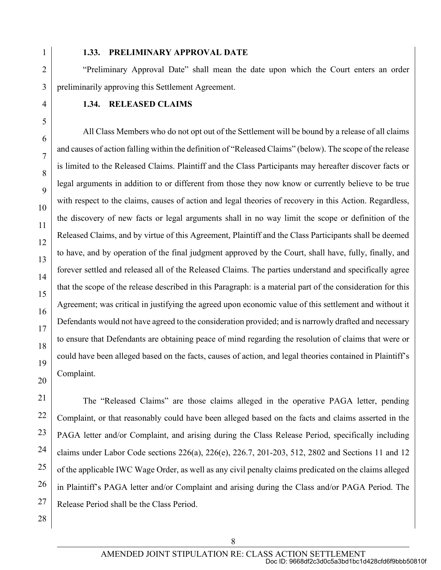#### **1.33. PRELIMINARY APPROVAL DATE**

"Preliminary Approval Date" shall mean the date upon which the Court enters an order preliminarily approving this Settlement Agreement.

#### **1.34. RELEASED CLAIMS**

All Class Members who do not opt out of the Settlement will be bound by a release of all claims and causes of action falling within the definition of "Released Claims" (below). The scope of the release is limited to the Released Claims. Plaintiff and the Class Participants may hereafter discover facts or legal arguments in addition to or different from those they now know or currently believe to be true with respect to the claims, causes of action and legal theories of recovery in this Action. Regardless, the discovery of new facts or legal arguments shall in no way limit the scope or definition of the Released Claims, and by virtue of this Agreement, Plaintiff and the Class Participants shall be deemed to have, and by operation of the final judgment approved by the Court, shall have, fully, finally, and forever settled and released all of the Released Claims. The parties understand and specifically agree that the scope of the release described in this Paragraph: is a material part of the consideration for this Agreement; was critical in justifying the agreed upon economic value of this settlement and without it Defendants would not have agreed to the consideration provided; and is narrowly drafted and necessary to ensure that Defendants are obtaining peace of mind regarding the resolution of claims that were or could have been alleged based on the facts, causes of action, and legal theories contained in Plaintiff's Complaint.

23 24 25 26 27 The "Released Claims" are those claims alleged in the operative PAGA letter, pending Complaint, or that reasonably could have been alleged based on the facts and claims asserted in the PAGA letter and/or Complaint, and arising during the Class Release Period, specifically including claims under Labor Code sections 226(a), 226(e), 226.7, 201-203, 512, 2802 and Sections 11 and 12 of the applicable IWC Wage Order, as well as any civil penalty claims predicated on the claims alleged in Plaintiff's PAGA letter and/or Complaint and arising during the Class and/or PAGA Period. The Release Period shall be the Class Period.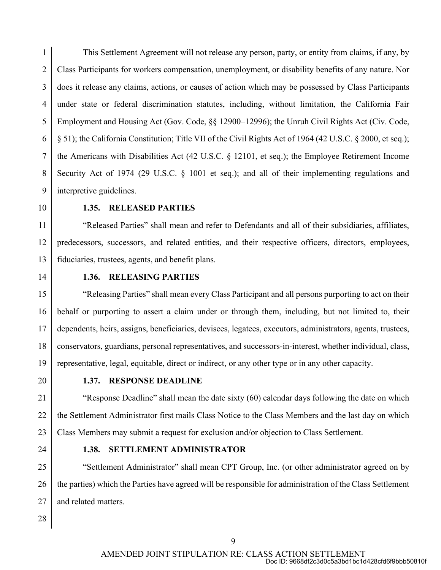1 2 3 4 5 6 7 8 9 This Settlement Agreement will not release any person, party, or entity from claims, if any, by Class Participants for workers compensation, unemployment, or disability benefits of any nature. Nor does it release any claims, actions, or causes of action which may be possessed by Class Participants under state or federal discrimination statutes, including, without limitation, the California Fair Employment and Housing Act (Gov. Code, §§ 12900–12996); the Unruh Civil Rights Act (Civ. Code, § 51); the California Constitution; Title VII of the Civil Rights Act of 1964 (42 U.S.C. § 2000, et seq.); the Americans with Disabilities Act (42 U.S.C. § 12101, et seq.); the Employee Retirement Income Security Act of 1974 (29 U.S.C. § 1001 et seq.); and all of their implementing regulations and interpretive guidelines.

10

#### **1.35. RELEASED PARTIES**

11 12 13 "Released Parties" shall mean and refer to Defendants and all of their subsidiaries, affiliates, predecessors, successors, and related entities, and their respective officers, directors, employees, fiduciaries, trustees, agents, and benefit plans.

14

#### **1.36. RELEASING PARTIES**

15 16 17 18 19 "Releasing Parties" shall mean every Class Participant and all persons purporting to act on their behalf or purporting to assert a claim under or through them, including, but not limited to, their dependents, heirs, assigns, beneficiaries, devisees, legatees, executors, administrators, agents, trustees, conservators, guardians, personal representatives, and successors-in-interest, whether individual, class, representative, legal, equitable, direct or indirect, or any other type or in any other capacity.

20

#### **1.37. RESPONSE DEADLINE**

 $21$ 22 23 "Response Deadline" shall mean the date sixty (60) calendar days following the date on which the Settlement Administrator first mails Class Notice to the Class Members and the last day on which Class Members may submit a request for exclusion and/or objection to Class Settlement.

24

#### **1.38. SETTLEMENT ADMINISTRATOR**

25 26 27 "Settlement Administrator" shall mean CPT Group, Inc. (or other administrator agreed on by the parties) which the Parties have agreed will be responsible for administration of the Class Settlement and related matters.

9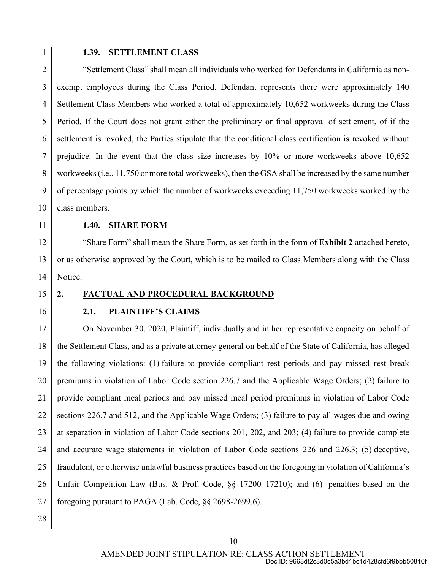#### **1.39. SETTLEMENT CLASS**

2 3 4 5 6 7 8 9 10 "Settlement Class" shall mean all individuals who worked for Defendants in California as nonexempt employees during the Class Period. Defendant represents there were approximately 140 Settlement Class Members who worked a total of approximately 10,652 workweeks during the Class Period. If the Court does not grant either the preliminary or final approval of settlement, of if the settlement is revoked, the Parties stipulate that the conditional class certification is revoked without prejudice. In the event that the class size increases by 10% or more workweeks above 10,652 workweeks (i.e., 11,750 or more total workweeks), then the GSA shall be increased by the same number of percentage points by which the number of workweeks exceeding 11,750 workweeks worked by the class members.

11

#### **1.40. SHARE FORM**

12 13 14 "Share Form" shall mean the Share Form, as set forth in the form of **Exhibit 2** attached hereto, or as otherwise approved by the Court, which is to be mailed to Class Members along with the Class Notice.

15

#### **2. FACTUAL AND PROCEDURAL BACKGROUND**

16

#### **2.1. PLAINTIFF'S CLAIMS**

17 18 19 20 21 22 23 24 25 26 27 On November 30, 2020, Plaintiff, individually and in her representative capacity on behalf of the Settlement Class, and as a private attorney general on behalf of the State of California, has alleged the following violations: (1) failure to provide compliant rest periods and pay missed rest break premiums in violation of Labor Code section 226.7 and the Applicable Wage Orders; (2) failure to provide compliant meal periods and pay missed meal period premiums in violation of Labor Code sections 226.7 and 512, and the Applicable Wage Orders; (3) failure to pay all wages due and owing at separation in violation of Labor Code sections 201, 202, and 203; (4) failure to provide complete and accurate wage statements in violation of Labor Code sections 226 and 226.3; (5) deceptive, fraudulent, or otherwise unlawful business practices based on the foregoing in violation of California's Unfair Competition Law (Bus. & Prof. Code, §§ 17200–17210); and (6) penalties based on the foregoing pursuant to PAGA (Lab. Code, §§ 2698-2699.6).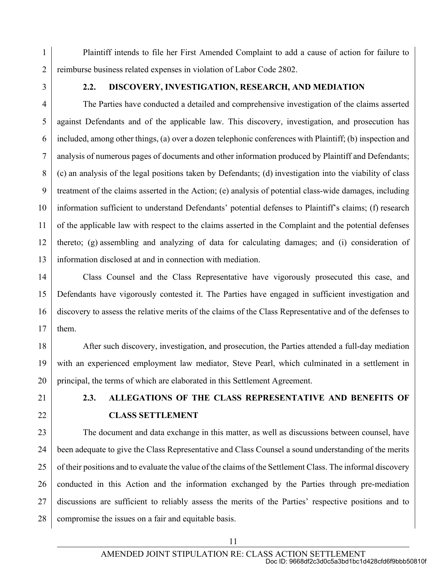Plaintiff intends to file her First Amended Complaint to add a cause of action for failure to reimburse business related expenses in violation of Labor Code 2802.

2 3

1

#### **2.2. DISCOVERY, INVESTIGATION, RESEARCH, AND MEDIATION**

4 5 6 7 8 9 10 11 12 13 The Parties have conducted a detailed and comprehensive investigation of the claims asserted against Defendants and of the applicable law. This discovery, investigation, and prosecution has included, among other things, (a) over a dozen telephonic conferences with Plaintiff; (b) inspection and analysis of numerous pages of documents and other information produced by Plaintiff and Defendants; (c) an analysis of the legal positions taken by Defendants; (d) investigation into the viability of class treatment of the claims asserted in the Action; (e) analysis of potential class-wide damages, including information sufficient to understand Defendants' potential defenses to Plaintiff's claims; (f) research of the applicable law with respect to the claims asserted in the Complaint and the potential defenses thereto; (g) assembling and analyzing of data for calculating damages; and (i) consideration of information disclosed at and in connection with mediation.

14 15 16 17 Class Counsel and the Class Representative have vigorously prosecuted this case, and Defendants have vigorously contested it. The Parties have engaged in sufficient investigation and discovery to assess the relative merits of the claims of the Class Representative and of the defenses to them.

18 19 20 After such discovery, investigation, and prosecution, the Parties attended a full-day mediation with an experienced employment law mediator, Steve Pearl, which culminated in a settlement in principal, the terms of which are elaborated in this Settlement Agreement.

- $21$
- 22

## **2.3. ALLEGATIONS OF THE CLASS REPRESENTATIVE AND BENEFITS OF CLASS SETTLEMENT**

23 24 25 26 27 28 The document and data exchange in this matter, as well as discussions between counsel, have been adequate to give the Class Representative and Class Counsel a sound understanding of the merits of their positions and to evaluate the value of the claims of the Settlement Class. The informal discovery conducted in this Action and the information exchanged by the Parties through pre-mediation discussions are sufficient to reliably assess the merits of the Parties' respective positions and to compromise the issues on a fair and equitable basis.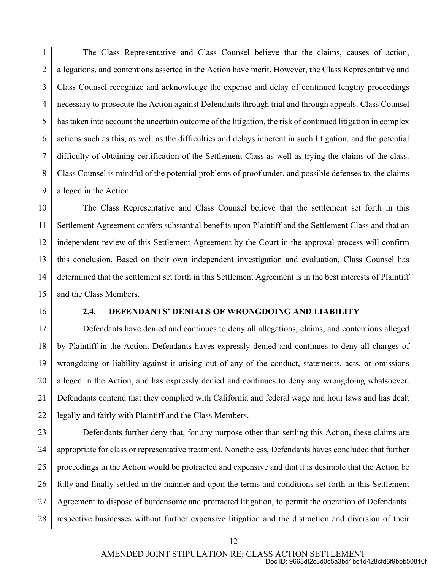1 2 3 4 5 6 7 8 9 The Class Representative and Class Counsel believe that the claims, causes of action, allegations, and contentions asserted in the Action have merit. However, the Class Representative and Class Counsel recognize and acknowledge the expense and delay of continued lengthy proceedings necessary to prosecute the Action against Defendants through trial and through appeals. Class Counsel has taken into account the uncertain outcome of the litigation, the risk of continued litigation in complex actions such as this, as well as the difficulties and delays inherent in such litigation, and the potential difficulty of obtaining certification of the Settlement Class as well as trying the claims of the class. Class Counsel is mindful of the potential problems of proof under, and possible defenses to, the claims alleged in the Action.

10 11 12 13 14 15 The Class Representative and Class Counsel believe that the settlement set forth in this Settlement Agreement confers substantial benefits upon Plaintiff and the Settlement Class and that an independent review of this Settlement Agreement by the Court in the approval process will confirm this conclusion. Based on their own independent investigation and evaluation, Class Counsel has determined that the settlement set forth in this Settlement Agreement is in the best interests of Plaintiff and the Class Members.

16

#### **2.4. DEFENDANTS' DENIALS OF WRONGDOING AND LIABILITY**

17 18 19 20 21 22 Defendants have denied and continues to deny all allegations, claims, and contentions alleged by Plaintiff in the Action. Defendants haves expressly denied and continues to deny all charges of wrongdoing or liability against it arising out of any of the conduct, statements, acts, or omissions alleged in the Action, and has expressly denied and continues to deny any wrongdoing whatsoever. Defendants contend that they complied with California and federal wage and hour laws and has dealt legally and fairly with Plaintiff and the Class Members.

23 24 25 26 27 28 Defendants further deny that, for any purpose other than settling this Action, these claims are appropriate for class or representative treatment. Nonetheless, Defendants haves concluded that further proceedings in the Action would be protracted and expensive and that it is desirable that the Action be fully and finally settled in the manner and upon the terms and conditions set forth in this Settlement Agreement to dispose of burdensome and protracted litigation, to permit the operation of Defendants' respective businesses without further expensive litigation and the distraction and diversion of their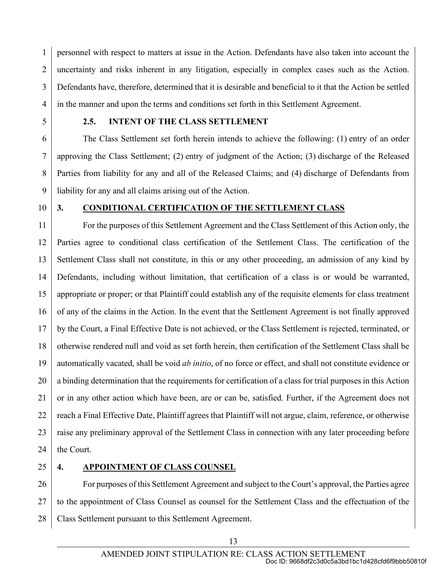1 2 3 4 personnel with respect to matters at issue in the Action. Defendants have also taken into account the uncertainty and risks inherent in any litigation, especially in complex cases such as the Action. Defendants have, therefore, determined that it is desirable and beneficial to it that the Action be settled in the manner and upon the terms and conditions set forth in this Settlement Agreement.

5

#### **2.5. INTENT OF THE CLASS SETTLEMENT**

6 7 8 9 The Class Settlement set forth herein intends to achieve the following: (1) entry of an order approving the Class Settlement; (2) entry of judgment of the Action; (3) discharge of the Released Parties from liability for any and all of the Released Claims; and (4) discharge of Defendants from liability for any and all claims arising out of the Action.

10

#### **3. CONDITIONAL CERTIFICATION OF THE SETTLEMENT CLASS**

11 12 13 14 15 16 17 18 19 20 21 22 23 24 For the purposes of this Settlement Agreement and the Class Settlement of this Action only, the Parties agree to conditional class certification of the Settlement Class. The certification of the Settlement Class shall not constitute, in this or any other proceeding, an admission of any kind by Defendants, including without limitation, that certification of a class is or would be warranted, appropriate or proper; or that Plaintiff could establish any of the requisite elements for class treatment of any of the claims in the Action. In the event that the Settlement Agreement is not finally approved by the Court, a Final Effective Date is not achieved, or the Class Settlement is rejected, terminated, or otherwise rendered null and void as set forth herein, then certification of the Settlement Class shall be automatically vacated, shall be void *ab initio*, of no force or effect, and shall not constitute evidence or a binding determination that the requirements for certification of a class for trial purposes in this Action or in any other action which have been, are or can be, satisfied. Further, if the Agreement does not reach a Final Effective Date, Plaintiff agrees that Plaintiff will not argue, claim, reference, or otherwise raise any preliminary approval of the Settlement Class in connection with any later proceeding before the Court.

25

#### **4. APPOINTMENT OF CLASS COUNSEL**

26 27 28 For purposes of this Settlement Agreement and subject to the Court's approval, the Parties agree to the appointment of Class Counsel as counsel for the Settlement Class and the effectuation of the Class Settlement pursuant to this Settlement Agreement.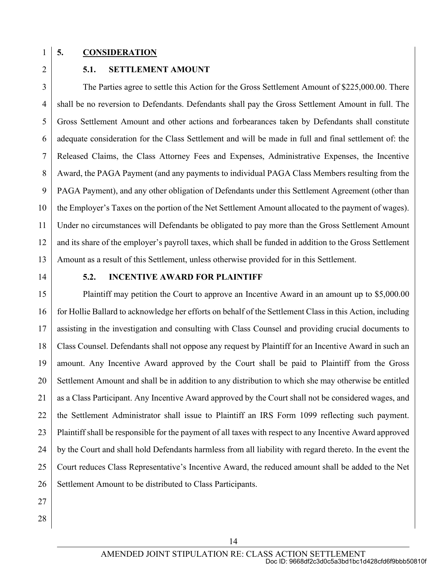2

#### **5. CONSIDERATION**

**5.1. SETTLEMENT AMOUNT** 

3 4 5 6 7 8 9 10 11 12 13 The Parties agree to settle this Action for the Gross Settlement Amount of \$225,000.00. There shall be no reversion to Defendants. Defendants shall pay the Gross Settlement Amount in full. The Gross Settlement Amount and other actions and forbearances taken by Defendants shall constitute adequate consideration for the Class Settlement and will be made in full and final settlement of: the Released Claims, the Class Attorney Fees and Expenses, Administrative Expenses, the Incentive Award, the PAGA Payment (and any payments to individual PAGA Class Members resulting from the PAGA Payment), and any other obligation of Defendants under this Settlement Agreement (other than the Employer's Taxes on the portion of the Net Settlement Amount allocated to the payment of wages). Under no circumstances will Defendants be obligated to pay more than the Gross Settlement Amount and its share of the employer's payroll taxes, which shall be funded in addition to the Gross Settlement Amount as a result of this Settlement, unless otherwise provided for in this Settlement.

14

#### **5.2. INCENTIVE AWARD FOR PLAINTIFF**

15 16 17 18 19 20 21 22 23 24 25 26 Plaintiff may petition the Court to approve an Incentive Award in an amount up to \$5,000.00 for Hollie Ballard to acknowledge her efforts on behalf of the Settlement Class in this Action, including assisting in the investigation and consulting with Class Counsel and providing crucial documents to Class Counsel. Defendants shall not oppose any request by Plaintiff for an Incentive Award in such an amount. Any Incentive Award approved by the Court shall be paid to Plaintiff from the Gross Settlement Amount and shall be in addition to any distribution to which she may otherwise be entitled as a Class Participant. Any Incentive Award approved by the Court shall not be considered wages, and the Settlement Administrator shall issue to Plaintiff an IRS Form 1099 reflecting such payment. Plaintiff shall be responsible for the payment of all taxes with respect to any Incentive Award approved by the Court and shall hold Defendants harmless from all liability with regard thereto. In the event the Court reduces Class Representative's Incentive Award, the reduced amount shall be added to the Net Settlement Amount to be distributed to Class Participants.

- 27
- 28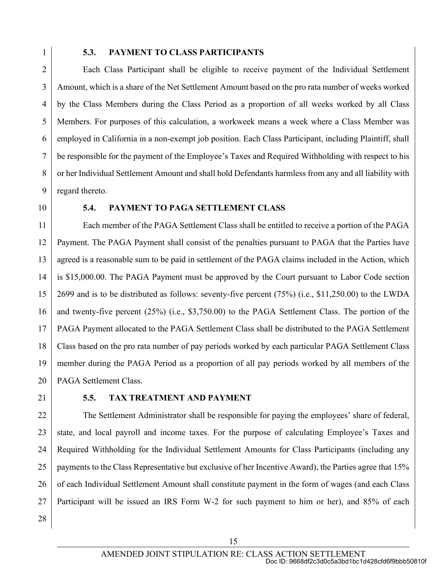#### **5.3. PAYMENT TO CLASS PARTICIPANTS**

2 3 4 5 6 7 8 9 Each Class Participant shall be eligible to receive payment of the Individual Settlement Amount, which is a share of the Net Settlement Amount based on the pro rata number of weeks worked by the Class Members during the Class Period as a proportion of all weeks worked by all Class Members. For purposes of this calculation, a workweek means a week where a Class Member was employed in California in a non-exempt job position. Each Class Participant, including Plaintiff, shall be responsible for the payment of the Employee's Taxes and Required Withholding with respect to his or her Individual Settlement Amount and shall hold Defendants harmless from any and all liability with regard thereto.

10

#### **5.4. PAYMENT TO PAGA SETTLEMENT CLASS**

11 12 13 14 15 16 17 18 19 20 Each member of the PAGA Settlement Class shall be entitled to receive a portion of the PAGA Payment. The PAGA Payment shall consist of the penalties pursuant to PAGA that the Parties have agreed is a reasonable sum to be paid in settlement of the PAGA claims included in the Action, which is \$15,000.00. The PAGA Payment must be approved by the Court pursuant to Labor Code section 2699 and is to be distributed as follows: seventy-five percent (75%) (i.e., \$11,250.00) to the LWDA and twenty-five percent (25%) (i.e., \$3,750.00) to the PAGA Settlement Class. The portion of the PAGA Payment allocated to the PAGA Settlement Class shall be distributed to the PAGA Settlement Class based on the pro rata number of pay periods worked by each particular PAGA Settlement Class member during the PAGA Period as a proportion of all pay periods worked by all members of the PAGA Settlement Class.

 $21$ 

#### **5.5. TAX TREATMENT AND PAYMENT**

22 23 24 25 26 27 The Settlement Administrator shall be responsible for paying the employees' share of federal, state, and local payroll and income taxes. For the purpose of calculating Employee's Taxes and Required Withholding for the Individual Settlement Amounts for Class Participants (including any payments to the Class Representative but exclusive of her Incentive Award), the Parties agree that 15% of each Individual Settlement Amount shall constitute payment in the form of wages (and each Class Participant will be issued an IRS Form W-2 for such payment to him or her), and 85% of each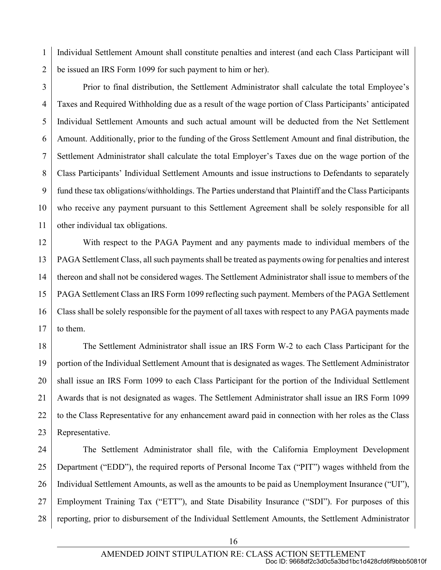1 2 Individual Settlement Amount shall constitute penalties and interest (and each Class Participant will be issued an IRS Form 1099 for such payment to him or her).

3 4 5 6 7 8 9 10 11 Prior to final distribution, the Settlement Administrator shall calculate the total Employee's Taxes and Required Withholding due as a result of the wage portion of Class Participants' anticipated Individual Settlement Amounts and such actual amount will be deducted from the Net Settlement Amount. Additionally, prior to the funding of the Gross Settlement Amount and final distribution, the Settlement Administrator shall calculate the total Employer's Taxes due on the wage portion of the Class Participants' Individual Settlement Amounts and issue instructions to Defendants to separately fund these tax obligations/withholdings. The Parties understand that Plaintiff and the Class Participants who receive any payment pursuant to this Settlement Agreement shall be solely responsible for all other individual tax obligations.

12 13 14 15 16 17 With respect to the PAGA Payment and any payments made to individual members of the PAGA Settlement Class, all such payments shall be treated as payments owing for penalties and interest thereon and shall not be considered wages. The Settlement Administrator shall issue to members of the PAGA Settlement Class an IRS Form 1099 reflecting such payment. Members of the PAGA Settlement Class shall be solely responsible for the payment of all taxes with respect to any PAGA payments made to them.

18 19 20 21 22 23 The Settlement Administrator shall issue an IRS Form W-2 to each Class Participant for the portion of the Individual Settlement Amount that is designated as wages. The Settlement Administrator shall issue an IRS Form 1099 to each Class Participant for the portion of the Individual Settlement Awards that is not designated as wages. The Settlement Administrator shall issue an IRS Form 1099 to the Class Representative for any enhancement award paid in connection with her roles as the Class Representative.

24 25 26 27 28 The Settlement Administrator shall file, with the California Employment Development Department ("EDD"), the required reports of Personal Income Tax ("PIT") wages withheld from the Individual Settlement Amounts, as well as the amounts to be paid as Unemployment Insurance ("UI"), Employment Training Tax ("ETT"), and State Disability Insurance ("SDI"). For purposes of this reporting, prior to disbursement of the Individual Settlement Amounts, the Settlement Administrator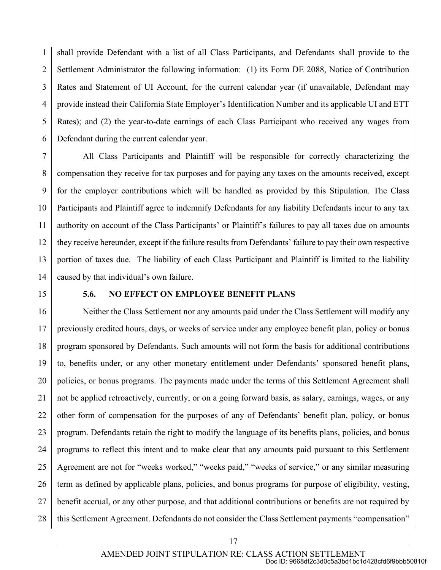1 2 3 4 5 6 shall provide Defendant with a list of all Class Participants, and Defendants shall provide to the Settlement Administrator the following information: (1) its Form DE 2088, Notice of Contribution Rates and Statement of UI Account, for the current calendar year (if unavailable, Defendant may provide instead their California State Employer's Identification Number and its applicable UI and ETT Rates); and (2) the year-to-date earnings of each Class Participant who received any wages from Defendant during the current calendar year.

7 8 9 10 11 12 13 14 All Class Participants and Plaintiff will be responsible for correctly characterizing the compensation they receive for tax purposes and for paying any taxes on the amounts received, except for the employer contributions which will be handled as provided by this Stipulation. The Class Participants and Plaintiff agree to indemnify Defendants for any liability Defendants incur to any tax authority on account of the Class Participants' or Plaintiff's failures to pay all taxes due on amounts they receive hereunder, except if the failure results from Defendants' failure to pay their own respective portion of taxes due. The liability of each Class Participant and Plaintiff is limited to the liability caused by that individual's own failure.

15

#### **5.6. NO EFFECT ON EMPLOYEE BENEFIT PLANS**

16 17 18 19 20 21 22 23 24 25 26 27 28 Neither the Class Settlement nor any amounts paid under the Class Settlement will modify any previously credited hours, days, or weeks of service under any employee benefit plan, policy or bonus program sponsored by Defendants. Such amounts will not form the basis for additional contributions to, benefits under, or any other monetary entitlement under Defendants' sponsored benefit plans, policies, or bonus programs. The payments made under the terms of this Settlement Agreement shall not be applied retroactively, currently, or on a going forward basis, as salary, earnings, wages, or any other form of compensation for the purposes of any of Defendants' benefit plan, policy, or bonus program. Defendants retain the right to modify the language of its benefits plans, policies, and bonus programs to reflect this intent and to make clear that any amounts paid pursuant to this Settlement Agreement are not for "weeks worked," "weeks paid," "weeks of service," or any similar measuring term as defined by applicable plans, policies, and bonus programs for purpose of eligibility, vesting, benefit accrual, or any other purpose, and that additional contributions or benefits are not required by this Settlement Agreement. Defendants do not consider the Class Settlement payments "compensation"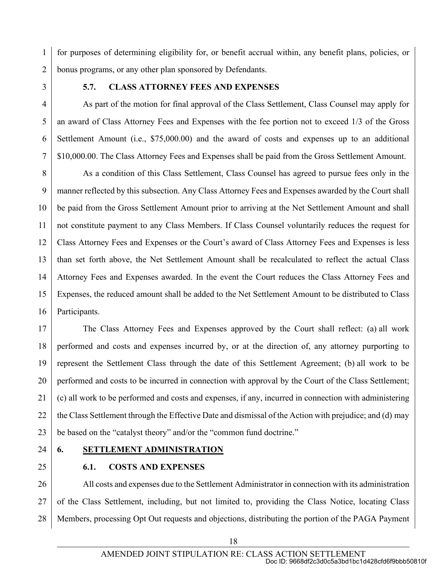1 2 for purposes of determining eligibility for, or benefit accrual within, any benefit plans, policies, or bonus programs, or any other plan sponsored by Defendants.

3

7

#### **5.7. CLASS ATTORNEY FEES AND EXPENSES**

4 5 6 As part of the motion for final approval of the Class Settlement, Class Counsel may apply for an award of Class Attorney Fees and Expenses with the fee portion not to exceed 1/3 of the Gross Settlement Amount (i.e., \$75,000.00) and the award of costs and expenses up to an additional \$10,000.00. The Class Attorney Fees and Expenses shall be paid from the Gross Settlement Amount.

8 9 10 11 12 13 14 15 16 As a condition of this Class Settlement, Class Counsel has agreed to pursue fees only in the manner reflected by this subsection. Any Class Attorney Fees and Expenses awarded by the Court shall be paid from the Gross Settlement Amount prior to arriving at the Net Settlement Amount and shall not constitute payment to any Class Members. If Class Counsel voluntarily reduces the request for Class Attorney Fees and Expenses or the Court's award of Class Attorney Fees and Expenses is less than set forth above, the Net Settlement Amount shall be recalculated to reflect the actual Class Attorney Fees and Expenses awarded. In the event the Court reduces the Class Attorney Fees and Expenses, the reduced amount shall be added to the Net Settlement Amount to be distributed to Class Participants.

17 18 19 20 21 22 23 The Class Attorney Fees and Expenses approved by the Court shall reflect: (a) all work performed and costs and expenses incurred by, or at the direction of, any attorney purporting to represent the Settlement Class through the date of this Settlement Agreement; (b) all work to be performed and costs to be incurred in connection with approval by the Court of the Class Settlement; (c) all work to be performed and costs and expenses, if any, incurred in connection with administering the Class Settlement through the Effective Date and dismissal of the Action with prejudice; and (d) may be based on the "catalyst theory" and/or the "common fund doctrine."

24

#### **6. SETTLEMENT ADMINISTRATION**

25

## **6.1. COSTS AND EXPENSES**

26 27 28 All costs and expenses due to the Settlement Administrator in connection with its administration of the Class Settlement, including, but not limited to, providing the Class Notice, locating Class Members, processing Opt Out requests and objections, distributing the portion of the PAGA Payment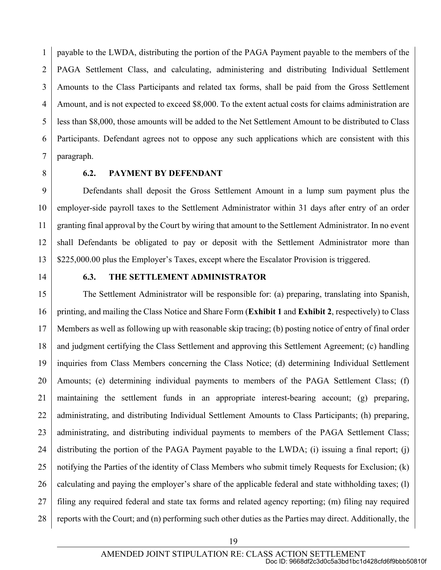1 2 3 4 5 6 7 payable to the LWDA, distributing the portion of the PAGA Payment payable to the members of the PAGA Settlement Class, and calculating, administering and distributing Individual Settlement Amounts to the Class Participants and related tax forms, shall be paid from the Gross Settlement Amount, and is not expected to exceed \$8,000. To the extent actual costs for claims administration are less than \$8,000, those amounts will be added to the Net Settlement Amount to be distributed to Class Participants. Defendant agrees not to oppose any such applications which are consistent with this paragraph.

8

#### **6.2. PAYMENT BY DEFENDANT**

9 10 11 12 13 Defendants shall deposit the Gross Settlement Amount in a lump sum payment plus the employer-side payroll taxes to the Settlement Administrator within 31 days after entry of an order granting final approval by the Court by wiring that amount to the Settlement Administrator. In no event shall Defendants be obligated to pay or deposit with the Settlement Administrator more than \$225,000.00 plus the Employer's Taxes, except where the Escalator Provision is triggered.

14

#### **6.3. THE SETTLEMENT ADMINISTRATOR**

15 16 17 18 19 20 21 22 23 24 25 26 27 28 The Settlement Administrator will be responsible for: (a) preparing, translating into Spanish, printing, and mailing the Class Notice and Share Form (**Exhibit 1** and **Exhibit 2**, respectively) to Class Members as well as following up with reasonable skip tracing; (b) posting notice of entry of final order and judgment certifying the Class Settlement and approving this Settlement Agreement; (c) handling inquiries from Class Members concerning the Class Notice; (d) determining Individual Settlement Amounts; (e) determining individual payments to members of the PAGA Settlement Class; (f) maintaining the settlement funds in an appropriate interest-bearing account; (g) preparing, administrating, and distributing Individual Settlement Amounts to Class Participants; (h) preparing, administrating, and distributing individual payments to members of the PAGA Settlement Class; distributing the portion of the PAGA Payment payable to the LWDA; (i) issuing a final report; (j) notifying the Parties of the identity of Class Members who submit timely Requests for Exclusion; (k) calculating and paying the employer's share of the applicable federal and state withholding taxes; (l) filing any required federal and state tax forms and related agency reporting; (m) filing nay required reports with the Court; and (n) performing such other duties as the Parties may direct. Additionally, the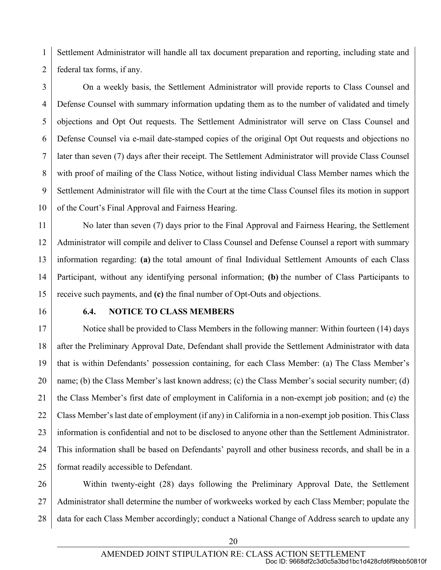1 2 Settlement Administrator will handle all tax document preparation and reporting, including state and federal tax forms, if any.

3 4 5 6 7 8 9 10 On a weekly basis, the Settlement Administrator will provide reports to Class Counsel and Defense Counsel with summary information updating them as to the number of validated and timely objections and Opt Out requests. The Settlement Administrator will serve on Class Counsel and Defense Counsel via e-mail date-stamped copies of the original Opt Out requests and objections no later than seven (7) days after their receipt. The Settlement Administrator will provide Class Counsel with proof of mailing of the Class Notice, without listing individual Class Member names which the Settlement Administrator will file with the Court at the time Class Counsel files its motion in support of the Court's Final Approval and Fairness Hearing.

11 12 13 14 15 No later than seven (7) days prior to the Final Approval and Fairness Hearing, the Settlement Administrator will compile and deliver to Class Counsel and Defense Counsel a report with summary information regarding: **(a)** the total amount of final Individual Settlement Amounts of each Class Participant, without any identifying personal information; **(b)** the number of Class Participants to receive such payments, and **(c)** the final number of Opt-Outs and objections.

16

#### **6.4. NOTICE TO CLASS MEMBERS**

17 18 19 20 21 22 23 24 25 Notice shall be provided to Class Members in the following manner: Within fourteen (14) days after the Preliminary Approval Date, Defendant shall provide the Settlement Administrator with data that is within Defendants' possession containing, for each Class Member: (a) The Class Member's name; (b) the Class Member's last known address; (c) the Class Member's social security number; (d) the Class Member's first date of employment in California in a non-exempt job position; and (e) the Class Member's last date of employment (if any) in California in a non-exempt job position. This Class information is confidential and not to be disclosed to anyone other than the Settlement Administrator. This information shall be based on Defendants' payroll and other business records, and shall be in a format readily accessible to Defendant.

26 27 28 Within twenty-eight (28) days following the Preliminary Approval Date, the Settlement Administrator shall determine the number of workweeks worked by each Class Member; populate the data for each Class Member accordingly; conduct a National Change of Address search to update any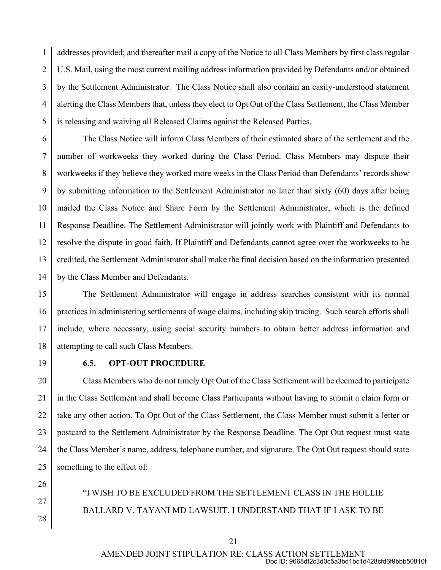1 2 3 4 5 addresses provided; and thereafter mail a copy of the Notice to all Class Members by first class regular U.S. Mail, using the most current mailing address information provided by Defendants and/or obtained by the Settlement Administrator. The Class Notice shall also contain an easily-understood statement alerting the Class Members that, unless they elect to Opt Out of the Class Settlement, the Class Member is releasing and waiving all Released Claims against the Released Parties.

6 7 8 9 10 11 12 13 14 The Class Notice will inform Class Members of their estimated share of the settlement and the number of workweeks they worked during the Class Period. Class Members may dispute their workweeks if they believe they worked more weeks in the Class Period than Defendants' records show by submitting information to the Settlement Administrator no later than sixty (60) days after being mailed the Class Notice and Share Form by the Settlement Administrator, which is the defined Response Deadline. The Settlement Administrator will jointly work with Plaintiff and Defendants to resolve the dispute in good faith. If Plaintiff and Defendants cannot agree over the workweeks to be credited, the Settlement Administrator shall make the final decision based on the information presented by the Class Member and Defendants.

15 16 17 18 The Settlement Administrator will engage in address searches consistent with its normal practices in administering settlements of wage claims, including skip tracing. Such search efforts shall include, where necessary, using social security numbers to obtain better address information and attempting to call such Class Members.

19

#### **6.5. OPT-OUT PROCEDURE**

20 21 22 23 24 25 Class Members who do not timely Opt Out of the Class Settlement will be deemed to participate in the Class Settlement and shall become Class Participants without having to submit a claim form or take any other action. To Opt Out of the Class Settlement, the Class Member must submit a letter or postcard to the Settlement Administrator by the Response Deadline. The Opt Out request must state the Class Member's name, address, telephone number, and signature. The Opt Out request should state something to the effect of:

26

27 28

"I WISH TO BE EXCLUDED FROM THE SETTLEMENT CLASS IN THE HOLLIE BALLARD V. TAYANI MD LAWSUIT. I UNDERSTAND THAT IF I ASK TO BE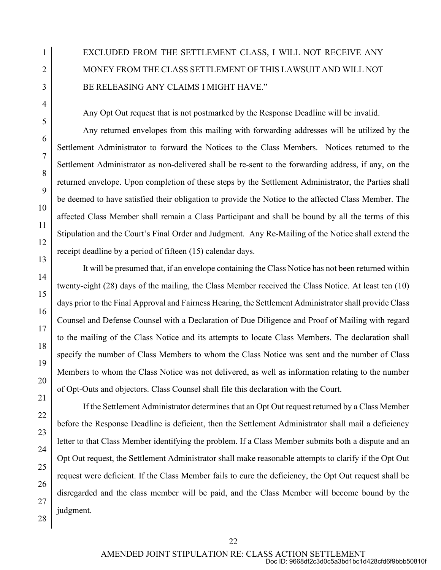# EXCLUDED FROM THE SETTLEMENT CLASS, I WILL NOT RECEIVE ANY MONEY FROM THE CLASS SETTLEMENT OF THIS LAWSUIT AND WILL NOT BE RELEASING ANY CLAIMS I MIGHT HAVE."

Any Opt Out request that is not postmarked by the Response Deadline will be invalid.

Any returned envelopes from this mailing with forwarding addresses will be utilized by the Settlement Administrator to forward the Notices to the Class Members. Notices returned to the Settlement Administrator as non-delivered shall be re-sent to the forwarding address, if any, on the returned envelope. Upon completion of these steps by the Settlement Administrator, the Parties shall be deemed to have satisfied their obligation to provide the Notice to the affected Class Member. The affected Class Member shall remain a Class Participant and shall be bound by all the terms of this Stipulation and the Court's Final Order and Judgment. Any Re-Mailing of the Notice shall extend the receipt deadline by a period of fifteen (15) calendar days.

It will be presumed that, if an envelope containing the Class Notice has not been returned within twenty-eight (28) days of the mailing, the Class Member received the Class Notice. At least ten (10) days prior to the Final Approval and Fairness Hearing, the Settlement Administrator shall provide Class Counsel and Defense Counsel with a Declaration of Due Diligence and Proof of Mailing with regard to the mailing of the Class Notice and its attempts to locate Class Members. The declaration shall specify the number of Class Members to whom the Class Notice was sent and the number of Class Members to whom the Class Notice was not delivered, as well as information relating to the number of Opt-Outs and objectors. Class Counsel shall file this declaration with the Court.

If the Settlement Administrator determines that an Opt Out request returned by a Class Member before the Response Deadline is deficient, then the Settlement Administrator shall mail a deficiency letter to that Class Member identifying the problem. If a Class Member submits both a dispute and an Opt Out request, the Settlement Administrator shall make reasonable attempts to clarify if the Opt Out request were deficient. If the Class Member fails to cure the deficiency, the Opt Out request shall be disregarded and the class member will be paid, and the Class Member will become bound by the judgment.

1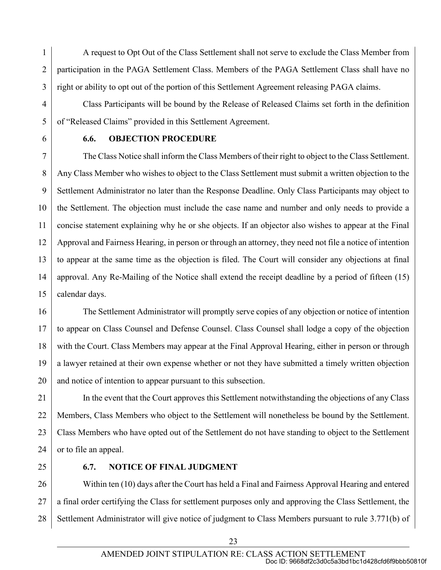1 2 3 A request to Opt Out of the Class Settlement shall not serve to exclude the Class Member from participation in the PAGA Settlement Class. Members of the PAGA Settlement Class shall have no right or ability to opt out of the portion of this Settlement Agreement releasing PAGA claims.

4 5 Class Participants will be bound by the Release of Released Claims set forth in the definition of "Released Claims" provided in this Settlement Agreement.

6

#### **6.6. OBJECTION PROCEDURE**

7 8 9 10 11 12 13 14 15 The Class Notice shall inform the Class Members of their right to object to the Class Settlement. Any Class Member who wishes to object to the Class Settlement must submit a written objection to the Settlement Administrator no later than the Response Deadline. Only Class Participants may object to the Settlement. The objection must include the case name and number and only needs to provide a concise statement explaining why he or she objects. If an objector also wishes to appear at the Final Approval and Fairness Hearing, in person or through an attorney, they need not file a notice of intention to appear at the same time as the objection is filed. The Court will consider any objections at final approval. Any Re-Mailing of the Notice shall extend the receipt deadline by a period of fifteen (15) calendar days.

16 17 18 19 20 The Settlement Administrator will promptly serve copies of any objection or notice of intention to appear on Class Counsel and Defense Counsel. Class Counsel shall lodge a copy of the objection with the Court. Class Members may appear at the Final Approval Hearing, either in person or through a lawyer retained at their own expense whether or not they have submitted a timely written objection and notice of intention to appear pursuant to this subsection.

 $21$ 22 23 24 In the event that the Court approves this Settlement notwithstanding the objections of any Class Members, Class Members who object to the Settlement will nonetheless be bound by the Settlement. Class Members who have opted out of the Settlement do not have standing to object to the Settlement or to file an appeal.

25

#### **6.7. NOTICE OF FINAL JUDGMENT**

26 27 28 Within ten (10) days after the Court has held a Final and Fairness Approval Hearing and entered a final order certifying the Class for settlement purposes only and approving the Class Settlement, the Settlement Administrator will give notice of judgment to Class Members pursuant to rule 3.771(b) of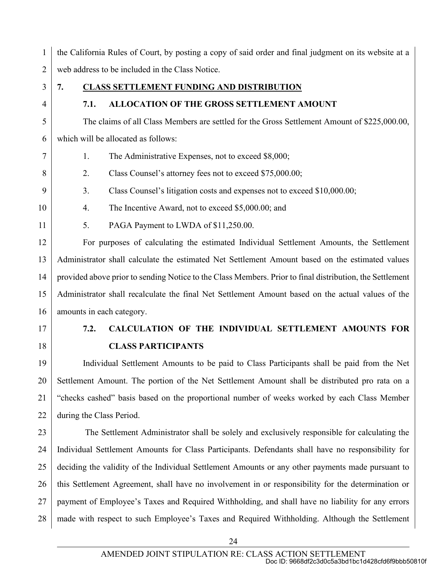1 2 3 4 5 6 7 8 9 10 11 12 13 14 15 16 17 18 19 20  $21$ 22 23 24 25 26 27 the California Rules of Court, by posting a copy of said order and final judgment on its website at a web address to be included in the Class Notice. **7. CLASS SETTLEMENT FUNDING AND DISTRIBUTION 7.1. ALLOCATION OF THE GROSS SETTLEMENT AMOUNT**  The claims of all Class Members are settled for the Gross Settlement Amount of \$225,000.00, which will be allocated as follows: 1. The Administrative Expenses, not to exceed \$8,000; 2. Class Counsel's attorney fees not to exceed \$75,000.00; 3. Class Counsel's litigation costs and expenses not to exceed \$10,000.00; 4. The Incentive Award, not to exceed \$5,000.00; and 5. PAGA Payment to LWDA of \$11,250.00. For purposes of calculating the estimated Individual Settlement Amounts, the Settlement Administrator shall calculate the estimated Net Settlement Amount based on the estimated values provided above prior to sending Notice to the Class Members. Prior to final distribution, the Settlement Administrator shall recalculate the final Net Settlement Amount based on the actual values of the amounts in each category. **7.2. CALCULATION OF THE INDIVIDUAL SETTLEMENT AMOUNTS FOR CLASS PARTICIPANTS**  Individual Settlement Amounts to be paid to Class Participants shall be paid from the Net Settlement Amount. The portion of the Net Settlement Amount shall be distributed pro rata on a "checks cashed" basis based on the proportional number of weeks worked by each Class Member during the Class Period. The Settlement Administrator shall be solely and exclusively responsible for calculating the Individual Settlement Amounts for Class Participants. Defendants shall have no responsibility for deciding the validity of the Individual Settlement Amounts or any other payments made pursuant to this Settlement Agreement, shall have no involvement in or responsibility for the determination or payment of Employee's Taxes and Required Withholding, and shall have no liability for any errors

28 made with respect to such Employee's Taxes and Required Withholding. Although the Settlement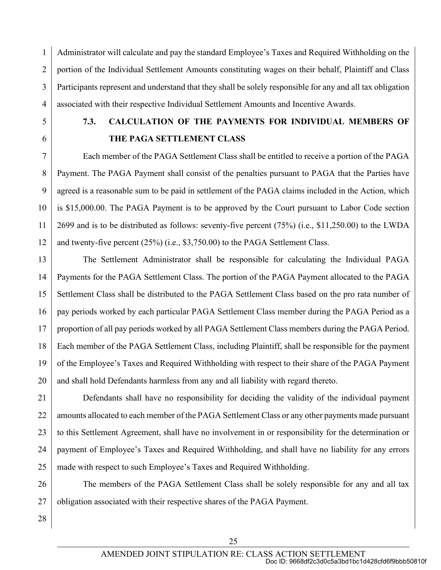1 2 3 4 Administrator will calculate and pay the standard Employee's Taxes and Required Withholding on the portion of the Individual Settlement Amounts constituting wages on their behalf, Plaintiff and Class Participants represent and understand that they shall be solely responsible for any and all tax obligation associated with their respective Individual Settlement Amounts and Incentive Awards.

- 5
- 6

## **7.3. CALCULATION OF THE PAYMENTS FOR INDIVIDUAL MEMBERS OF THE PAGA SETTLEMENT CLASS**

7 8 9 10 11 12 Each member of the PAGA Settlement Class shall be entitled to receive a portion of the PAGA Payment. The PAGA Payment shall consist of the penalties pursuant to PAGA that the Parties have agreed is a reasonable sum to be paid in settlement of the PAGA claims included in the Action, which is \$15,000.00. The PAGA Payment is to be approved by the Court pursuant to Labor Code section 2699 and is to be distributed as follows: seventy-five percent (75%) (i.e., \$11,250.00) to the LWDA and twenty-five percent (25%) (i.e., \$3,750.00) to the PAGA Settlement Class.

13 14 15 16 17 18 19 20 The Settlement Administrator shall be responsible for calculating the Individual PAGA Payments for the PAGA Settlement Class. The portion of the PAGA Payment allocated to the PAGA Settlement Class shall be distributed to the PAGA Settlement Class based on the pro rata number of pay periods worked by each particular PAGA Settlement Class member during the PAGA Period as a proportion of all pay periods worked by all PAGA Settlement Class members during the PAGA Period. Each member of the PAGA Settlement Class, including Plaintiff, shall be responsible for the payment of the Employee's Taxes and Required Withholding with respect to their share of the PAGA Payment and shall hold Defendants harmless from any and all liability with regard thereto.

 $21$ 22 23 24 25 Defendants shall have no responsibility for deciding the validity of the individual payment amounts allocated to each member of the PAGA Settlement Class or any other payments made pursuant to this Settlement Agreement, shall have no involvement in or responsibility for the determination or payment of Employee's Taxes and Required Withholding, and shall have no liability for any errors made with respect to such Employee's Taxes and Required Withholding.

26 27 The members of the PAGA Settlement Class shall be solely responsible for any and all tax obligation associated with their respective shares of the PAGA Payment.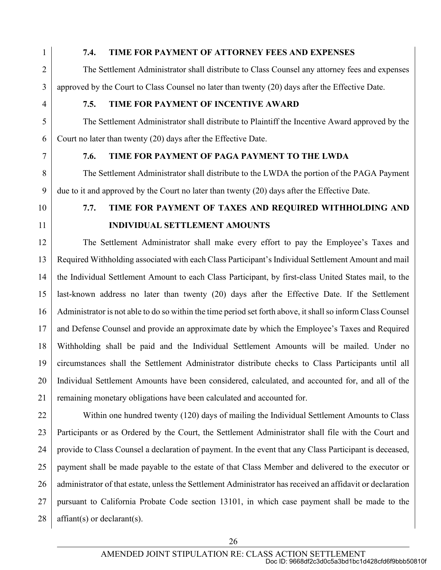3

4

5

6

7

8

9

#### **7.4. TIME FOR PAYMENT OF ATTORNEY FEES AND EXPENSES**

The Settlement Administrator shall distribute to Class Counsel any attorney fees and expenses approved by the Court to Class Counsel no later than twenty (20) days after the Effective Date.

#### **7.5. TIME FOR PAYMENT OF INCENTIVE AWARD**

The Settlement Administrator shall distribute to Plaintiff the Incentive Award approved by the Court no later than twenty (20) days after the Effective Date.

#### **7.6. TIME FOR PAYMENT OF PAGA PAYMENT TO THE LWDA**

The Settlement Administrator shall distribute to the LWDA the portion of the PAGA Payment due to it and approved by the Court no later than twenty (20) days after the Effective Date.

- 10
- 11

## **7.7. TIME FOR PAYMENT OF TAXES AND REQUIRED WITHHOLDING AND INDIVIDUAL SETTLEMENT AMOUNTS**

12 13 14 15 16 17 18 19 20 21 The Settlement Administrator shall make every effort to pay the Employee's Taxes and Required Withholding associated with each Class Participant's Individual Settlement Amount and mail the Individual Settlement Amount to each Class Participant, by first-class United States mail, to the last-known address no later than twenty (20) days after the Effective Date. If the Settlement Administrator is not able to do so within the time period set forth above, it shall so inform Class Counsel and Defense Counsel and provide an approximate date by which the Employee's Taxes and Required Withholding shall be paid and the Individual Settlement Amounts will be mailed. Under no circumstances shall the Settlement Administrator distribute checks to Class Participants until all Individual Settlement Amounts have been considered, calculated, and accounted for, and all of the remaining monetary obligations have been calculated and accounted for.

22 23 24 25 26 27 28 Within one hundred twenty (120) days of mailing the Individual Settlement Amounts to Class Participants or as Ordered by the Court, the Settlement Administrator shall file with the Court and provide to Class Counsel a declaration of payment. In the event that any Class Participant is deceased, payment shall be made payable to the estate of that Class Member and delivered to the executor or administrator of that estate, unless the Settlement Administrator has received an affidavit or declaration pursuant to California Probate Code section 13101, in which case payment shall be made to the affiant(s) or declarant(s).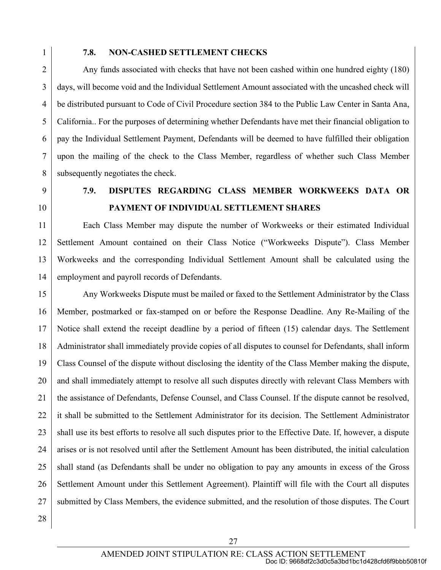#### **7.8. NON-CASHED SETTLEMENT CHECKS**

2 3 4 5 6 7 8 Any funds associated with checks that have not been cashed within one hundred eighty (180) days, will become void and the Individual Settlement Amount associated with the uncashed check will be distributed pursuant to Code of Civil Procedure section 384 to the Public Law Center in Santa Ana, California.. For the purposes of determining whether Defendants have met their financial obligation to pay the Individual Settlement Payment, Defendants will be deemed to have fulfilled their obligation upon the mailing of the check to the Class Member, regardless of whether such Class Member subsequently negotiates the check.

- 9
- 10

## **7.9. DISPUTES REGARDING CLASS MEMBER WORKWEEKS DATA OR PAYMENT OF INDIVIDUAL SETTLEMENT SHARES**

11 12 13 14 Each Class Member may dispute the number of Workweeks or their estimated Individual Settlement Amount contained on their Class Notice ("Workweeks Dispute"). Class Member Workweeks and the corresponding Individual Settlement Amount shall be calculated using the employment and payroll records of Defendants.

15 16 17 18 19 20 21 22 23 24 25 26 27 Any Workweeks Dispute must be mailed or faxed to the Settlement Administrator by the Class Member, postmarked or fax-stamped on or before the Response Deadline. Any Re-Mailing of the Notice shall extend the receipt deadline by a period of fifteen (15) calendar days. The Settlement Administrator shall immediately provide copies of all disputes to counsel for Defendants, shall inform Class Counsel of the dispute without disclosing the identity of the Class Member making the dispute, and shall immediately attempt to resolve all such disputes directly with relevant Class Members with the assistance of Defendants, Defense Counsel, and Class Counsel. If the dispute cannot be resolved, it shall be submitted to the Settlement Administrator for its decision. The Settlement Administrator shall use its best efforts to resolve all such disputes prior to the Effective Date. If, however, a dispute arises or is not resolved until after the Settlement Amount has been distributed, the initial calculation shall stand (as Defendants shall be under no obligation to pay any amounts in excess of the Gross Settlement Amount under this Settlement Agreement). Plaintiff will file with the Court all disputes submitted by Class Members, the evidence submitted, and the resolution of those disputes. The Court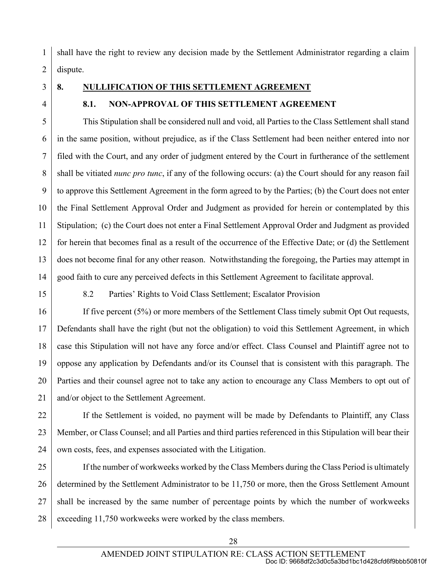1 2 shall have the right to review any decision made by the Settlement Administrator regarding a claim dispute.

3

4

#### **8. NULLIFICATION OF THIS SETTLEMENT AGREEMENT**

#### **8.1. NON-APPROVAL OF THIS SETTLEMENT AGREEMENT**

5 6 7 8 9 10 11 12 13 14 This Stipulation shall be considered null and void, all Parties to the Class Settlement shall stand in the same position, without prejudice, as if the Class Settlement had been neither entered into nor filed with the Court, and any order of judgment entered by the Court in furtherance of the settlement shall be vitiated *nunc pro tunc*, if any of the following occurs: (a) the Court should for any reason fail to approve this Settlement Agreement in the form agreed to by the Parties; (b) the Court does not enter the Final Settlement Approval Order and Judgment as provided for herein or contemplated by this Stipulation; (c) the Court does not enter a Final Settlement Approval Order and Judgment as provided for herein that becomes final as a result of the occurrence of the Effective Date; or (d) the Settlement does not become final for any other reason. Notwithstanding the foregoing, the Parties may attempt in good faith to cure any perceived defects in this Settlement Agreement to facilitate approval.

15

8.2 Parties' Rights to Void Class Settlement; Escalator Provision

16 17 18 19 20  $21$ If five percent (5%) or more members of the Settlement Class timely submit Opt Out requests, Defendants shall have the right (but not the obligation) to void this Settlement Agreement, in which case this Stipulation will not have any force and/or effect. Class Counsel and Plaintiff agree not to oppose any application by Defendants and/or its Counsel that is consistent with this paragraph. The Parties and their counsel agree not to take any action to encourage any Class Members to opt out of and/or object to the Settlement Agreement.

22 23 24 If the Settlement is voided, no payment will be made by Defendants to Plaintiff, any Class Member, or Class Counsel; and all Parties and third parties referenced in this Stipulation will bear their own costs, fees, and expenses associated with the Litigation.

25 26 27 28 If the number of workweeks worked by the Class Members during the Class Period is ultimately determined by the Settlement Administrator to be 11,750 or more, then the Gross Settlement Amount shall be increased by the same number of percentage points by which the number of workweeks exceeding 11,750 workweeks were worked by the class members.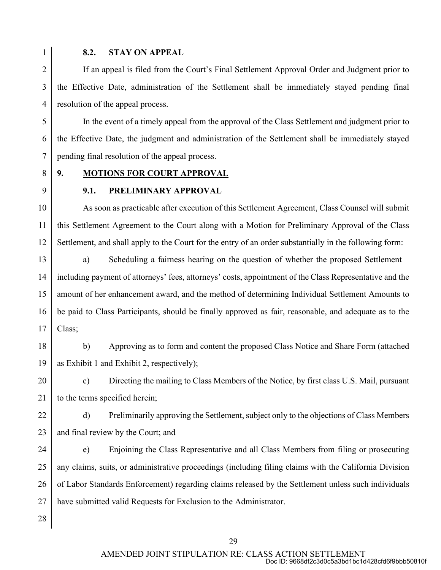#### **8.2. STAY ON APPEAL**

2 3 4 If an appeal is filed from the Court's Final Settlement Approval Order and Judgment prior to the Effective Date, administration of the Settlement shall be immediately stayed pending final resolution of the appeal process.

5 6 7 In the event of a timely appeal from the approval of the Class Settlement and judgment prior to the Effective Date, the judgment and administration of the Settlement shall be immediately stayed pending final resolution of the appeal process.

8

## **9. MOTIONS FOR COURT APPROVAL**

9

#### **9.1. PRELIMINARY APPROVAL**

10 11 12 As soon as practicable after execution of this Settlement Agreement, Class Counsel will submit this Settlement Agreement to the Court along with a Motion for Preliminary Approval of the Class Settlement, and shall apply to the Court for the entry of an order substantially in the following form:

13 14 15 16 17 a) Scheduling a fairness hearing on the question of whether the proposed Settlement – including payment of attorneys' fees, attorneys' costs, appointment of the Class Representative and the amount of her enhancement award, and the method of determining Individual Settlement Amounts to be paid to Class Participants, should be finally approved as fair, reasonable, and adequate as to the Class;

18 19 b) Approving as to form and content the proposed Class Notice and Share Form (attached as Exhibit 1 and Exhibit 2, respectively);

20  $21$ c) Directing the mailing to Class Members of the Notice, by first class U.S. Mail, pursuant to the terms specified herein;

22

23

d) Preliminarily approving the Settlement, subject only to the objections of Class Members and final review by the Court; and

24 25 26 27 e) Enjoining the Class Representative and all Class Members from filing or prosecuting any claims, suits, or administrative proceedings (including filing claims with the California Division of Labor Standards Enforcement) regarding claims released by the Settlement unless such individuals have submitted valid Requests for Exclusion to the Administrator.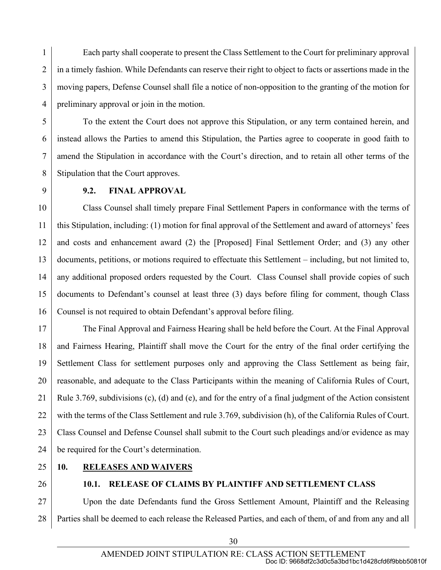1 2 3 4 Each party shall cooperate to present the Class Settlement to the Court for preliminary approval in a timely fashion. While Defendants can reserve their right to object to facts or assertions made in the moving papers, Defense Counsel shall file a notice of non-opposition to the granting of the motion for preliminary approval or join in the motion.

5 6 7 8 To the extent the Court does not approve this Stipulation, or any term contained herein, and instead allows the Parties to amend this Stipulation, the Parties agree to cooperate in good faith to amend the Stipulation in accordance with the Court's direction, and to retain all other terms of the Stipulation that the Court approves.

9

#### **9.2. FINAL APPROVAL**

10 11 12 13 14 15 16 Class Counsel shall timely prepare Final Settlement Papers in conformance with the terms of this Stipulation, including: (1) motion for final approval of the Settlement and award of attorneys' fees and costs and enhancement award (2) the [Proposed] Final Settlement Order; and (3) any other documents, petitions, or motions required to effectuate this Settlement – including, but not limited to, any additional proposed orders requested by the Court. Class Counsel shall provide copies of such documents to Defendant's counsel at least three (3) days before filing for comment, though Class Counsel is not required to obtain Defendant's approval before filing.

17 18 19 20 21 22 23 24 The Final Approval and Fairness Hearing shall be held before the Court. At the Final Approval and Fairness Hearing, Plaintiff shall move the Court for the entry of the final order certifying the Settlement Class for settlement purposes only and approving the Class Settlement as being fair, reasonable, and adequate to the Class Participants within the meaning of California Rules of Court, Rule 3.769, subdivisions (c), (d) and (e), and for the entry of a final judgment of the Action consistent with the terms of the Class Settlement and rule 3.769, subdivision (h), of the California Rules of Court. Class Counsel and Defense Counsel shall submit to the Court such pleadings and/or evidence as may be required for the Court's determination.

25

#### **10. RELEASES AND WAIVERS**

#### 26

#### **10.1. RELEASE OF CLAIMS BY PLAINTIFF AND SETTLEMENT CLASS**

27 28 Upon the date Defendants fund the Gross Settlement Amount, Plaintiff and the Releasing Parties shall be deemed to each release the Released Parties, and each of them, of and from any and all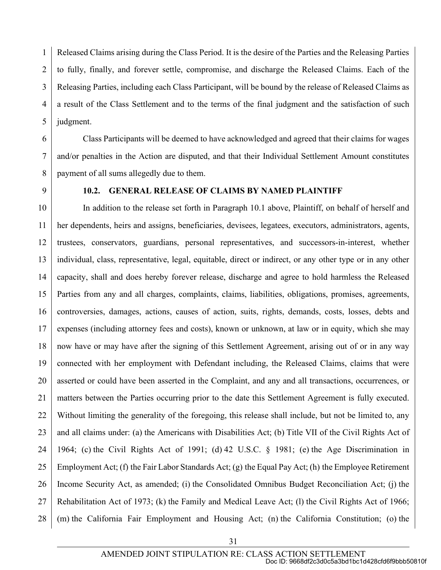1 2 3 4 5 Released Claims arising during the Class Period. It is the desire of the Parties and the Releasing Parties to fully, finally, and forever settle, compromise, and discharge the Released Claims. Each of the Releasing Parties, including each Class Participant, will be bound by the release of Released Claims as a result of the Class Settlement and to the terms of the final judgment and the satisfaction of such judgment.

6 7 8 Class Participants will be deemed to have acknowledged and agreed that their claims for wages and/or penalties in the Action are disputed, and that their Individual Settlement Amount constitutes payment of all sums allegedly due to them.

9

#### **10.2. GENERAL RELEASE OF CLAIMS BY NAMED PLAINTIFF**

10 11 12 13 14 15 16 17 18 19 20 21 22 23 24 25 26 27 28 In addition to the release set forth in Paragraph 10.1 above, Plaintiff, on behalf of herself and her dependents, heirs and assigns, beneficiaries, devisees, legatees, executors, administrators, agents, trustees, conservators, guardians, personal representatives, and successors-in-interest, whether individual, class, representative, legal, equitable, direct or indirect, or any other type or in any other capacity, shall and does hereby forever release, discharge and agree to hold harmless the Released Parties from any and all charges, complaints, claims, liabilities, obligations, promises, agreements, controversies, damages, actions, causes of action, suits, rights, demands, costs, losses, debts and expenses (including attorney fees and costs), known or unknown, at law or in equity, which she may now have or may have after the signing of this Settlement Agreement, arising out of or in any way connected with her employment with Defendant including, the Released Claims, claims that were asserted or could have been asserted in the Complaint, and any and all transactions, occurrences, or matters between the Parties occurring prior to the date this Settlement Agreement is fully executed. Without limiting the generality of the foregoing, this release shall include, but not be limited to, any and all claims under: (a) the Americans with Disabilities Act; (b) Title VII of the Civil Rights Act of 1964; (c) the Civil Rights Act of 1991; (d) 42 U.S.C. § 1981; (e) the Age Discrimination in Employment Act; (f) the Fair Labor Standards Act; (g) the Equal Pay Act; (h) the Employee Retirement Income Security Act, as amended; (i) the Consolidated Omnibus Budget Reconciliation Act; (j) the Rehabilitation Act of 1973; (k) the Family and Medical Leave Act; (l) the Civil Rights Act of 1966; (m) the California Fair Employment and Housing Act; (n) the California Constitution; (o) the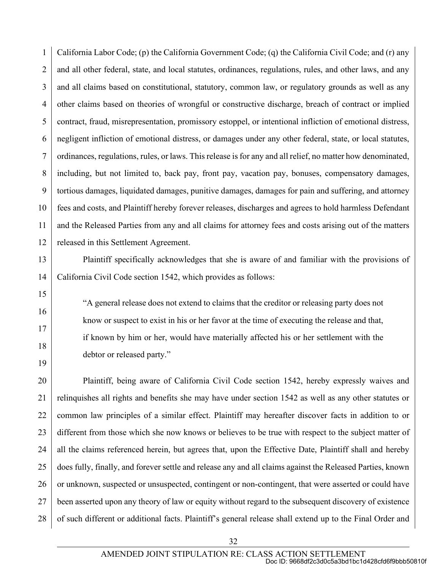1 2 3 4 5 6 7 8 9 10 11 12 California Labor Code; (p) the California Government Code; (q) the California Civil Code; and (r) any and all other federal, state, and local statutes, ordinances, regulations, rules, and other laws, and any and all claims based on constitutional, statutory, common law, or regulatory grounds as well as any other claims based on theories of wrongful or constructive discharge, breach of contract or implied contract, fraud, misrepresentation, promissory estoppel, or intentional infliction of emotional distress, negligent infliction of emotional distress, or damages under any other federal, state, or local statutes, ordinances, regulations, rules, or laws. This release is for any and all relief, no matter how denominated, including, but not limited to, back pay, front pay, vacation pay, bonuses, compensatory damages, tortious damages, liquidated damages, punitive damages, damages for pain and suffering, and attorney fees and costs, and Plaintiff hereby forever releases, discharges and agrees to hold harmless Defendant and the Released Parties from any and all claims for attorney fees and costs arising out of the matters released in this Settlement Agreement.

13 14 Plaintiff specifically acknowledges that she is aware of and familiar with the provisions of California Civil Code section 1542, which provides as follows:

15

16

17

18

19

"A general release does not extend to claims that the creditor or releasing party does not know or suspect to exist in his or her favor at the time of executing the release and that, if known by him or her, would have materially affected his or her settlement with the debtor or released party."

20 21 22 23 24 25 26 27 28 Plaintiff, being aware of California Civil Code section 1542, hereby expressly waives and relinquishes all rights and benefits she may have under section 1542 as well as any other statutes or common law principles of a similar effect. Plaintiff may hereafter discover facts in addition to or different from those which she now knows or believes to be true with respect to the subject matter of all the claims referenced herein, but agrees that, upon the Effective Date, Plaintiff shall and hereby does fully, finally, and forever settle and release any and all claims against the Released Parties, known or unknown, suspected or unsuspected, contingent or non-contingent, that were asserted or could have been asserted upon any theory of law or equity without regard to the subsequent discovery of existence of such different or additional facts. Plaintiff's general release shall extend up to the Final Order and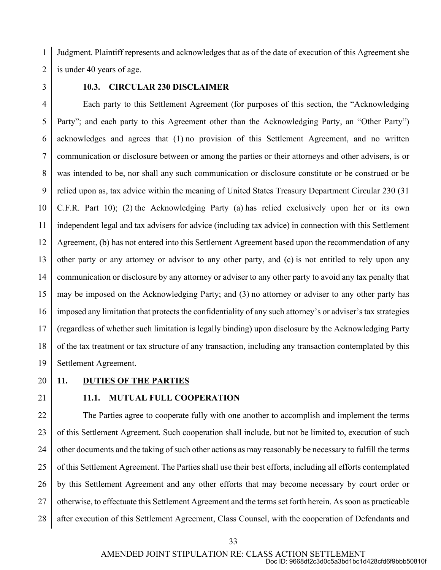1 2 Judgment. Plaintiff represents and acknowledges that as of the date of execution of this Agreement she is under 40 years of age.

3

#### **10.3. CIRCULAR 230 DISCLAIMER**

4 5 6 7 8 9 10 11 12 13 14 15 16 17 18 19 Each party to this Settlement Agreement (for purposes of this section, the "Acknowledging Party"; and each party to this Agreement other than the Acknowledging Party, an "Other Party") acknowledges and agrees that (1) no provision of this Settlement Agreement, and no written communication or disclosure between or among the parties or their attorneys and other advisers, is or was intended to be, nor shall any such communication or disclosure constitute or be construed or be relied upon as, tax advice within the meaning of United States Treasury Department Circular 230 (31 C.F.R. Part 10); (2) the Acknowledging Party (a) has relied exclusively upon her or its own independent legal and tax advisers for advice (including tax advice) in connection with this Settlement Agreement, (b) has not entered into this Settlement Agreement based upon the recommendation of any other party or any attorney or advisor to any other party, and (c) is not entitled to rely upon any communication or disclosure by any attorney or adviser to any other party to avoid any tax penalty that may be imposed on the Acknowledging Party; and (3) no attorney or adviser to any other party has imposed any limitation that protects the confidentiality of any such attorney's or adviser's tax strategies (regardless of whether such limitation is legally binding) upon disclosure by the Acknowledging Party of the tax treatment or tax structure of any transaction, including any transaction contemplated by this Settlement Agreement.

20

#### **11. DUTIES OF THE PARTIES**

 $21$ 

**11.1. MUTUAL FULL COOPERATION** 

22 23 24 25 26 27 28 The Parties agree to cooperate fully with one another to accomplish and implement the terms of this Settlement Agreement. Such cooperation shall include, but not be limited to, execution of such other documents and the taking of such other actions as may reasonably be necessary to fulfill the terms of this Settlement Agreement. The Parties shall use their best efforts, including all efforts contemplated by this Settlement Agreement and any other efforts that may become necessary by court order or otherwise, to effectuate this Settlement Agreement and the terms set forth herein. As soon as practicable after execution of this Settlement Agreement, Class Counsel, with the cooperation of Defendants and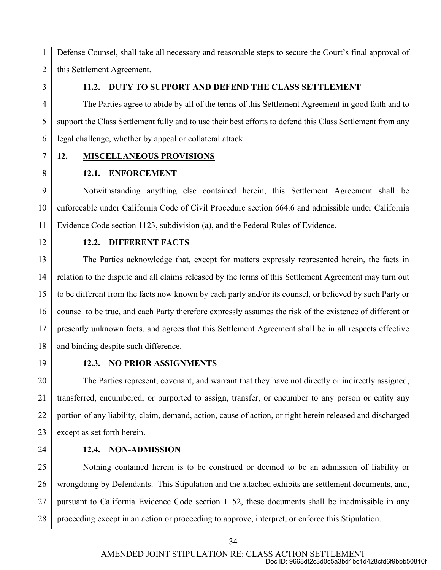1 2 Defense Counsel, shall take all necessary and reasonable steps to secure the Court's final approval of this Settlement Agreement.

3

#### **11.2. DUTY TO SUPPORT AND DEFEND THE CLASS SETTLEMENT**

4 5 6 The Parties agree to abide by all of the terms of this Settlement Agreement in good faith and to support the Class Settlement fully and to use their best efforts to defend this Class Settlement from any legal challenge, whether by appeal or collateral attack.

7 8

#### **12. MISCELLANEOUS PROVISIONS**

#### **12.1. ENFORCEMENT**

9 10 11 Notwithstanding anything else contained herein, this Settlement Agreement shall be enforceable under California Code of Civil Procedure section 664.6 and admissible under California Evidence Code section 1123, subdivision (a), and the Federal Rules of Evidence.

12

#### **12.2. DIFFERENT FACTS**

13 14 15 16 17 18 The Parties acknowledge that, except for matters expressly represented herein, the facts in relation to the dispute and all claims released by the terms of this Settlement Agreement may turn out to be different from the facts now known by each party and/or its counsel, or believed by such Party or counsel to be true, and each Party therefore expressly assumes the risk of the existence of different or presently unknown facts, and agrees that this Settlement Agreement shall be in all respects effective and binding despite such difference.

19

### **12.3. NO PRIOR ASSIGNMENTS**

20  $21$ 22 23 The Parties represent, covenant, and warrant that they have not directly or indirectly assigned, transferred, encumbered, or purported to assign, transfer, or encumber to any person or entity any portion of any liability, claim, demand, action, cause of action, or right herein released and discharged except as set forth herein.

24

### **12.4. NON-ADMISSION**

25 26 27 28 Nothing contained herein is to be construed or deemed to be an admission of liability or wrongdoing by Defendants. This Stipulation and the attached exhibits are settlement documents, and, pursuant to California Evidence Code section 1152, these documents shall be inadmissible in any proceeding except in an action or proceeding to approve, interpret, or enforce this Stipulation.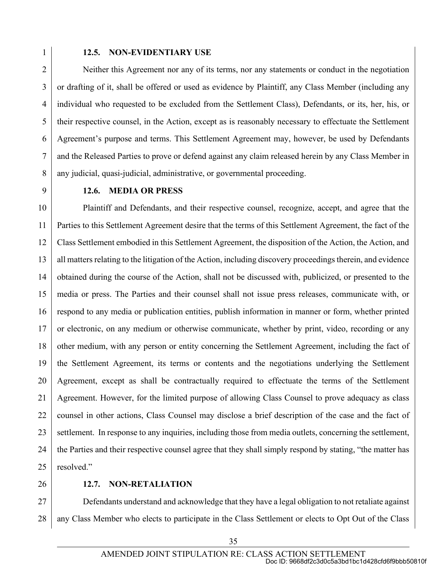#### **12.5. NON-EVIDENTIARY USE**

2 3 4 5 6 7 8 Neither this Agreement nor any of its terms, nor any statements or conduct in the negotiation or drafting of it, shall be offered or used as evidence by Plaintiff, any Class Member (including any individual who requested to be excluded from the Settlement Class), Defendants, or its, her, his, or their respective counsel, in the Action, except as is reasonably necessary to effectuate the Settlement Agreement's purpose and terms. This Settlement Agreement may, however, be used by Defendants and the Released Parties to prove or defend against any claim released herein by any Class Member in any judicial, quasi-judicial, administrative, or governmental proceeding.

9

#### **12.6. MEDIA OR PRESS**

10 11 12 13 14 15 16 17 18 19 20 21 22 23 24 25 Plaintiff and Defendants, and their respective counsel, recognize, accept, and agree that the Parties to this Settlement Agreement desire that the terms of this Settlement Agreement, the fact of the Class Settlement embodied in this Settlement Agreement, the disposition of the Action, the Action, and all matters relating to the litigation of the Action, including discovery proceedings therein, and evidence obtained during the course of the Action, shall not be discussed with, publicized, or presented to the media or press. The Parties and their counsel shall not issue press releases, communicate with, or respond to any media or publication entities, publish information in manner or form, whether printed or electronic, on any medium or otherwise communicate, whether by print, video, recording or any other medium, with any person or entity concerning the Settlement Agreement, including the fact of the Settlement Agreement, its terms or contents and the negotiations underlying the Settlement Agreement, except as shall be contractually required to effectuate the terms of the Settlement Agreement. However, for the limited purpose of allowing Class Counsel to prove adequacy as class counsel in other actions, Class Counsel may disclose a brief description of the case and the fact of settlement. In response to any inquiries, including those from media outlets, concerning the settlement, the Parties and their respective counsel agree that they shall simply respond by stating, "the matter has resolved."

26

#### **12.7. NON-RETALIATION**

27 28 Defendants understand and acknowledge that they have a legal obligation to not retaliate against any Class Member who elects to participate in the Class Settlement or elects to Opt Out of the Class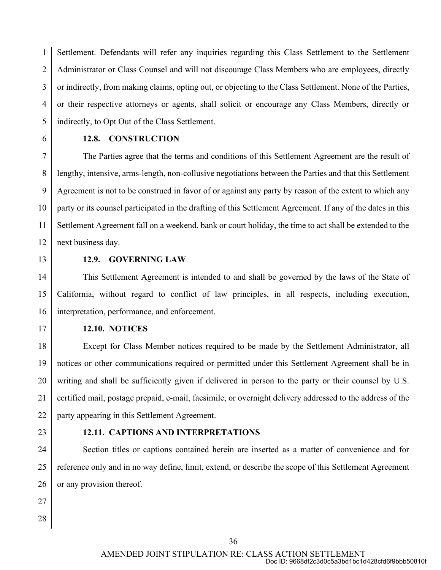1 2 3 4 5 Settlement. Defendants will refer any inquiries regarding this Class Settlement to the Settlement Administrator or Class Counsel and will not discourage Class Members who are employees, directly or indirectly, from making claims, opting out, or objecting to the Class Settlement. None of the Parties, or their respective attorneys or agents, shall solicit or encourage any Class Members, directly or indirectly, to Opt Out of the Class Settlement.

6

#### **12.8. CONSTRUCTION**

7 8 9 10 11 12 The Parties agree that the terms and conditions of this Settlement Agreement are the result of lengthy, intensive, arms-length, non-collusive negotiations between the Parties and that this Settlement Agreement is not to be construed in favor of or against any party by reason of the extent to which any party or its counsel participated in the drafting of this Settlement Agreement. If any of the dates in this Settlement Agreement fall on a weekend, bank or court holiday, the time to act shall be extended to the next business day.

13

#### **12.9. GOVERNING LAW**

14 15 16 This Settlement Agreement is intended to and shall be governed by the laws of the State of California, without regard to conflict of law principles, in all respects, including execution, interpretation, performance, and enforcement.

17

#### **12.10. NOTICES**

18 19 20  $21$ 22 Except for Class Member notices required to be made by the Settlement Administrator, all notices or other communications required or permitted under this Settlement Agreement shall be in writing and shall be sufficiently given if delivered in person to the party or their counsel by U.S. certified mail, postage prepaid, e-mail, facsimile, or overnight delivery addressed to the address of the party appearing in this Settlement Agreement.

23

#### **12.11. CAPTIONS AND INTERPRETATIONS**

24 25 26 Section titles or captions contained herein are inserted as a matter of convenience and for reference only and in no way define, limit, extend, or describe the scope of this Settlement Agreement or any provision thereof.

- 27
- 28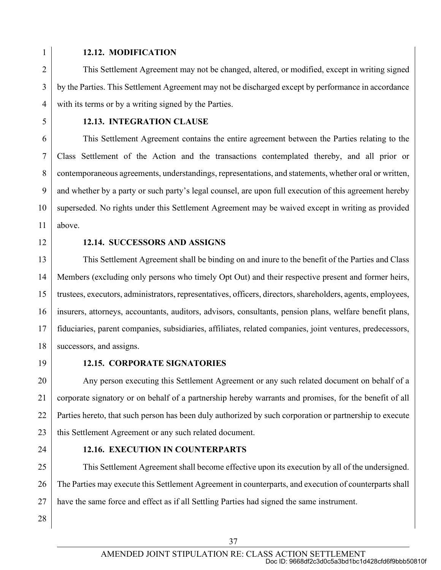#### **12.12. MODIFICATION**

2 3 4 This Settlement Agreement may not be changed, altered, or modified, except in writing signed by the Parties. This Settlement Agreement may not be discharged except by performance in accordance with its terms or by a writing signed by the Parties.

5

#### **12.13. INTEGRATION CLAUSE**

6 7 8 9 10 11 This Settlement Agreement contains the entire agreement between the Parties relating to the Class Settlement of the Action and the transactions contemplated thereby, and all prior or contemporaneous agreements, understandings, representations, and statements, whether oral or written, and whether by a party or such party's legal counsel, are upon full execution of this agreement hereby superseded. No rights under this Settlement Agreement may be waived except in writing as provided above.

12

#### **12.14. SUCCESSORS AND ASSIGNS**

13 14 15 16 17 18 This Settlement Agreement shall be binding on and inure to the benefit of the Parties and Class Members (excluding only persons who timely Opt Out) and their respective present and former heirs, trustees, executors, administrators, representatives, officers, directors, shareholders, agents, employees, insurers, attorneys, accountants, auditors, advisors, consultants, pension plans, welfare benefit plans, fiduciaries, parent companies, subsidiaries, affiliates, related companies, joint ventures, predecessors, successors, and assigns.

19

#### **12.15. CORPORATE SIGNATORIES**

20 21 22 23 Any person executing this Settlement Agreement or any such related document on behalf of a corporate signatory or on behalf of a partnership hereby warrants and promises, for the benefit of all Parties hereto, that such person has been duly authorized by such corporation or partnership to execute this Settlement Agreement or any such related document.

24

#### **12.16. EXECUTION IN COUNTERPARTS**

25 26 27 This Settlement Agreement shall become effective upon its execution by all of the undersigned. The Parties may execute this Settlement Agreement in counterparts, and execution of counterparts shall have the same force and effect as if all Settling Parties had signed the same instrument.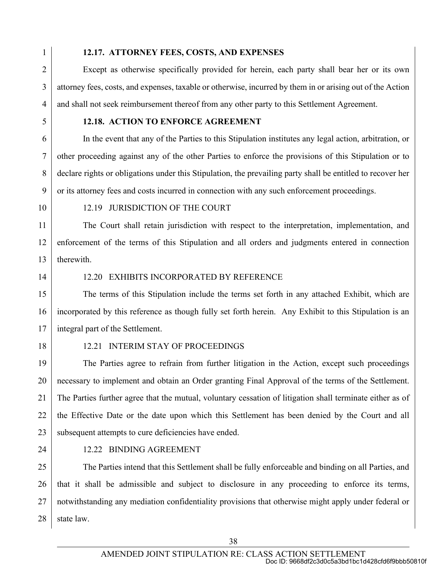#### **12.17. ATTORNEY FEES, COSTS, AND EXPENSES**

2 3 4 Except as otherwise specifically provided for herein, each party shall bear her or its own attorney fees, costs, and expenses, taxable or otherwise, incurred by them in or arising out of the Action and shall not seek reimbursement thereof from any other party to this Settlement Agreement.

5

6

7

8

9

#### **12.18. ACTION TO ENFORCE AGREEMENT**

In the event that any of the Parties to this Stipulation institutes any legal action, arbitration, or other proceeding against any of the other Parties to enforce the provisions of this Stipulation or to declare rights or obligations under this Stipulation, the prevailing party shall be entitled to recover her or its attorney fees and costs incurred in connection with any such enforcement proceedings.

10

#### 12.19 JURISDICTION OF THE COURT

11 12 13 The Court shall retain jurisdiction with respect to the interpretation, implementation, and enforcement of the terms of this Stipulation and all orders and judgments entered in connection therewith.

14

#### 12.20 EXHIBITS INCORPORATED BY REFERENCE

15 16 17 The terms of this Stipulation include the terms set forth in any attached Exhibit, which are incorporated by this reference as though fully set forth herein. Any Exhibit to this Stipulation is an integral part of the Settlement.

18

#### 12.21 INTERIM STAY OF PROCEEDINGS

19 20 21 22 23 The Parties agree to refrain from further litigation in the Action, except such proceedings necessary to implement and obtain an Order granting Final Approval of the terms of the Settlement. The Parties further agree that the mutual, voluntary cessation of litigation shall terminate either as of the Effective Date or the date upon which this Settlement has been denied by the Court and all subsequent attempts to cure deficiencies have ended.

24

#### 12.22 BINDING AGREEMENT

25 26 27 28 The Parties intend that this Settlement shall be fully enforceable and binding on all Parties, and that it shall be admissible and subject to disclosure in any proceeding to enforce its terms, notwithstanding any mediation confidentiality provisions that otherwise might apply under federal or state law.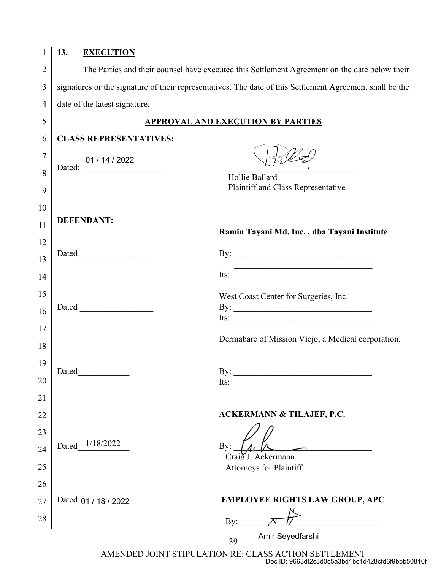| 1              | 13.<br><b>EXECUTION</b>                                                                                  |                                                                                                  |
|----------------|----------------------------------------------------------------------------------------------------------|--------------------------------------------------------------------------------------------------|
| $\overline{2}$ |                                                                                                          | The Parties and their counsel have executed this Settlement Agreement on the date below their    |
| 3              | signatures or the signature of their representatives. The date of this Settlement Agreement shall be the |                                                                                                  |
| $\overline{4}$ | date of the latest signature.                                                                            |                                                                                                  |
| 5              |                                                                                                          | <b>APPROVAL AND EXECUTION BY PARTIES</b>                                                         |
| 6              | <b>CLASS REPRESENTATIVES:</b>                                                                            |                                                                                                  |
| 7              | 01 / 14 / 2022                                                                                           |                                                                                                  |
| 8<br>9         |                                                                                                          | Hollie Ballard<br>Plaintiff and Class Representative                                             |
| 10             |                                                                                                          |                                                                                                  |
| 11             | <b>DEFENDANT:</b>                                                                                        | Ramin Tayani Md. Inc., dba Tayani Institute                                                      |
| 12             |                                                                                                          |                                                                                                  |
| 13             | Dated <b>Exercise Services</b>                                                                           |                                                                                                  |
| 14             |                                                                                                          | Its: $\qquad \qquad$                                                                             |
| 15             |                                                                                                          | West Coast Center for Surgeries, Inc.                                                            |
| 16             | Dated                                                                                                    | By: $\qquad \qquad$<br>Its: $\frac{1}{\sqrt{1-\frac{1}{2}}\left(\frac{1}{2}-\frac{1}{2}\right)}$ |
| 17<br>18       |                                                                                                          | Dermabare of Mission Viejo, a Medical corporation.                                               |
| 19             |                                                                                                          |                                                                                                  |
| 20             | Dated                                                                                                    | By: $\qquad \qquad$<br>Its: $\qquad \qquad$                                                      |
| 21             |                                                                                                          |                                                                                                  |
| 22             |                                                                                                          | <b>ACKERMANN &amp; TILAJEF, P.C.</b>                                                             |
| 23             |                                                                                                          |                                                                                                  |
| 24             | 1/18/2022<br>Dated                                                                                       | By:                                                                                              |
| 25             |                                                                                                          | Craig J. Ackermann<br>Attorneys for Plaintiff                                                    |
| 26             |                                                                                                          |                                                                                                  |
| 27             | Dated 01 / 18 / 2022                                                                                     | <b>EMPLOYEE RIGHTS LAW GROUP, APC</b>                                                            |
| 28             |                                                                                                          | $\mathbf{By:}$                                                                                   |
|                |                                                                                                          | Amir Seyedfarshi<br>39                                                                           |

AMENDED JOINT STIPULATION RE: CLASS ACTION SETTLEMENT Doc ID: 9668df2c3d0c5a3bd1bc1d428cfd6f9bbb50810f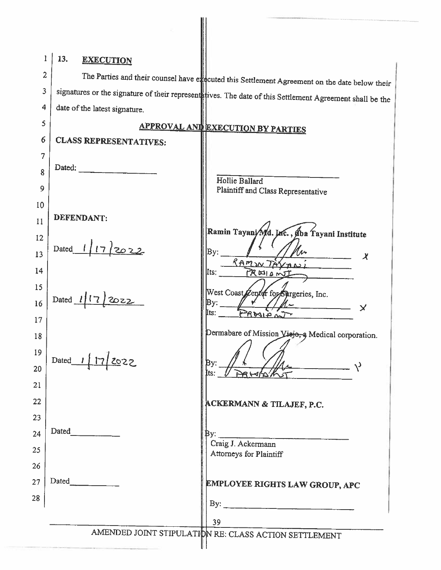| 13.<br>L<br><b>EXECUTION</b><br>2<br>The Parties and their counsel have executed this Settlement Agreement on the date below their<br>3<br>signatures or the signature of their representatives. The date of this Settlement Agreement shall be the<br>$\overline{\mathbf{4}}$<br>date of the latest signature.<br>S<br><b>APPROVAL AND EXECUTION BY PARTIES</b><br>6<br><b>CLASS REPRESENTATIVES:</b><br>7<br>Dated:<br>8<br>Hollie Ballard<br>Plaintiff and Class Representative<br>DEFENDANT:<br>Ramin Tayani/Md. Inc., dha Tayani Institute<br>Dated 1/17/2022<br>By:<br>$\boldsymbol{\chi}$<br>RAMW TÀ<br>Its:<br>PROJENT<br>West Coast Zenter for Surgeries, Inc.<br>Dated $1/7$<br><u>  2022</u><br>$\mathsf{By:}\_\_$<br>$\mathscr{U}$<br>$\bm{\times}$<br>Its:<br>$R$ bain $\tilde{\omega}$<br>Dermabare of Mission Viejo, a Medical corporation.<br>Dated 1 17 2022<br>By:<br>$\sim$ $\sim$<br>[ts:<br>$\mathcal{A} \mathcal{B} \mathcal{A}$<br>ACKERMANN & TILAJEF, P.C.<br>By: <u>Craig J. Ackermann</u><br>Attorneys for Plaintiff<br>EMPLOYEE RIGHTS LAW GROUP, APC<br>By: $\qquad \qquad$<br>39<br>AMENDED JOINT STIPULATION RE: CLASS ACTION SETTLEMENT |    |  |
|-------------------------------------------------------------------------------------------------------------------------------------------------------------------------------------------------------------------------------------------------------------------------------------------------------------------------------------------------------------------------------------------------------------------------------------------------------------------------------------------------------------------------------------------------------------------------------------------------------------------------------------------------------------------------------------------------------------------------------------------------------------------------------------------------------------------------------------------------------------------------------------------------------------------------------------------------------------------------------------------------------------------------------------------------------------------------------------------------------------------------------------------------------------------------|----|--|
|                                                                                                                                                                                                                                                                                                                                                                                                                                                                                                                                                                                                                                                                                                                                                                                                                                                                                                                                                                                                                                                                                                                                                                         |    |  |
|                                                                                                                                                                                                                                                                                                                                                                                                                                                                                                                                                                                                                                                                                                                                                                                                                                                                                                                                                                                                                                                                                                                                                                         |    |  |
|                                                                                                                                                                                                                                                                                                                                                                                                                                                                                                                                                                                                                                                                                                                                                                                                                                                                                                                                                                                                                                                                                                                                                                         |    |  |
|                                                                                                                                                                                                                                                                                                                                                                                                                                                                                                                                                                                                                                                                                                                                                                                                                                                                                                                                                                                                                                                                                                                                                                         |    |  |
|                                                                                                                                                                                                                                                                                                                                                                                                                                                                                                                                                                                                                                                                                                                                                                                                                                                                                                                                                                                                                                                                                                                                                                         |    |  |
|                                                                                                                                                                                                                                                                                                                                                                                                                                                                                                                                                                                                                                                                                                                                                                                                                                                                                                                                                                                                                                                                                                                                                                         |    |  |
|                                                                                                                                                                                                                                                                                                                                                                                                                                                                                                                                                                                                                                                                                                                                                                                                                                                                                                                                                                                                                                                                                                                                                                         |    |  |
|                                                                                                                                                                                                                                                                                                                                                                                                                                                                                                                                                                                                                                                                                                                                                                                                                                                                                                                                                                                                                                                                                                                                                                         |    |  |
|                                                                                                                                                                                                                                                                                                                                                                                                                                                                                                                                                                                                                                                                                                                                                                                                                                                                                                                                                                                                                                                                                                                                                                         |    |  |
|                                                                                                                                                                                                                                                                                                                                                                                                                                                                                                                                                                                                                                                                                                                                                                                                                                                                                                                                                                                                                                                                                                                                                                         | 9  |  |
|                                                                                                                                                                                                                                                                                                                                                                                                                                                                                                                                                                                                                                                                                                                                                                                                                                                                                                                                                                                                                                                                                                                                                                         | 10 |  |
|                                                                                                                                                                                                                                                                                                                                                                                                                                                                                                                                                                                                                                                                                                                                                                                                                                                                                                                                                                                                                                                                                                                                                                         | 11 |  |
|                                                                                                                                                                                                                                                                                                                                                                                                                                                                                                                                                                                                                                                                                                                                                                                                                                                                                                                                                                                                                                                                                                                                                                         | 12 |  |
|                                                                                                                                                                                                                                                                                                                                                                                                                                                                                                                                                                                                                                                                                                                                                                                                                                                                                                                                                                                                                                                                                                                                                                         | 13 |  |
|                                                                                                                                                                                                                                                                                                                                                                                                                                                                                                                                                                                                                                                                                                                                                                                                                                                                                                                                                                                                                                                                                                                                                                         | 14 |  |
|                                                                                                                                                                                                                                                                                                                                                                                                                                                                                                                                                                                                                                                                                                                                                                                                                                                                                                                                                                                                                                                                                                                                                                         | 15 |  |
|                                                                                                                                                                                                                                                                                                                                                                                                                                                                                                                                                                                                                                                                                                                                                                                                                                                                                                                                                                                                                                                                                                                                                                         | 16 |  |
|                                                                                                                                                                                                                                                                                                                                                                                                                                                                                                                                                                                                                                                                                                                                                                                                                                                                                                                                                                                                                                                                                                                                                                         | 17 |  |
|                                                                                                                                                                                                                                                                                                                                                                                                                                                                                                                                                                                                                                                                                                                                                                                                                                                                                                                                                                                                                                                                                                                                                                         | 18 |  |
|                                                                                                                                                                                                                                                                                                                                                                                                                                                                                                                                                                                                                                                                                                                                                                                                                                                                                                                                                                                                                                                                                                                                                                         | 19 |  |
|                                                                                                                                                                                                                                                                                                                                                                                                                                                                                                                                                                                                                                                                                                                                                                                                                                                                                                                                                                                                                                                                                                                                                                         | 20 |  |
|                                                                                                                                                                                                                                                                                                                                                                                                                                                                                                                                                                                                                                                                                                                                                                                                                                                                                                                                                                                                                                                                                                                                                                         | 21 |  |
|                                                                                                                                                                                                                                                                                                                                                                                                                                                                                                                                                                                                                                                                                                                                                                                                                                                                                                                                                                                                                                                                                                                                                                         | 22 |  |
|                                                                                                                                                                                                                                                                                                                                                                                                                                                                                                                                                                                                                                                                                                                                                                                                                                                                                                                                                                                                                                                                                                                                                                         | 23 |  |
|                                                                                                                                                                                                                                                                                                                                                                                                                                                                                                                                                                                                                                                                                                                                                                                                                                                                                                                                                                                                                                                                                                                                                                         | 24 |  |
|                                                                                                                                                                                                                                                                                                                                                                                                                                                                                                                                                                                                                                                                                                                                                                                                                                                                                                                                                                                                                                                                                                                                                                         | 25 |  |
|                                                                                                                                                                                                                                                                                                                                                                                                                                                                                                                                                                                                                                                                                                                                                                                                                                                                                                                                                                                                                                                                                                                                                                         | 26 |  |
|                                                                                                                                                                                                                                                                                                                                                                                                                                                                                                                                                                                                                                                                                                                                                                                                                                                                                                                                                                                                                                                                                                                                                                         | 27 |  |
|                                                                                                                                                                                                                                                                                                                                                                                                                                                                                                                                                                                                                                                                                                                                                                                                                                                                                                                                                                                                                                                                                                                                                                         | 28 |  |
|                                                                                                                                                                                                                                                                                                                                                                                                                                                                                                                                                                                                                                                                                                                                                                                                                                                                                                                                                                                                                                                                                                                                                                         |    |  |
|                                                                                                                                                                                                                                                                                                                                                                                                                                                                                                                                                                                                                                                                                                                                                                                                                                                                                                                                                                                                                                                                                                                                                                         |    |  |
|                                                                                                                                                                                                                                                                                                                                                                                                                                                                                                                                                                                                                                                                                                                                                                                                                                                                                                                                                                                                                                                                                                                                                                         |    |  |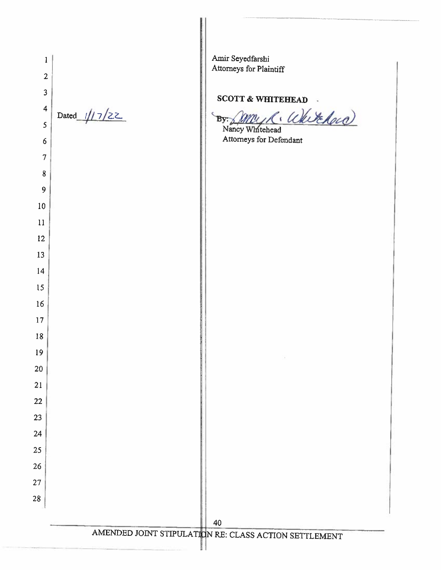| $\mathbf{1}$<br>$\overline{2}$                     |                 | Amir Seyedfarshi<br>Attorneys for Plaintiff           |
|----------------------------------------------------|-----------------|-------------------------------------------------------|
| $\overline{\mathbf{3}}$<br>$\overline{\mathbf{4}}$ |                 | <b>SCOTT &amp; WHITEHEAD</b>                          |
| 5                                                  | Dated $1/17/22$ | By Samy R. Whitehave<br>Nancy Whitehead               |
| 6                                                  |                 | Attorneys for Defendant                               |
| $\overline{7}$                                     |                 |                                                       |
| 8                                                  |                 |                                                       |
| 9                                                  |                 |                                                       |
| 10                                                 |                 |                                                       |
| 11                                                 |                 |                                                       |
| 12                                                 |                 |                                                       |
| 13                                                 |                 |                                                       |
| 14                                                 |                 |                                                       |
| 15                                                 |                 |                                                       |
| 16                                                 |                 |                                                       |
| 17                                                 |                 |                                                       |
| $18\,$                                             |                 |                                                       |
| 19                                                 |                 |                                                       |
| 20                                                 |                 |                                                       |
| 21                                                 |                 |                                                       |
| 22                                                 |                 |                                                       |
| 23                                                 |                 |                                                       |
| 24<br>25                                           |                 |                                                       |
| 26                                                 |                 |                                                       |
| 27                                                 |                 |                                                       |
| 28                                                 |                 |                                                       |
|                                                    |                 |                                                       |
|                                                    |                 | 40                                                    |
|                                                    |                 | AMENDED JOINT STIPULATION RE: CLASS ACTION SETTLEMENT |